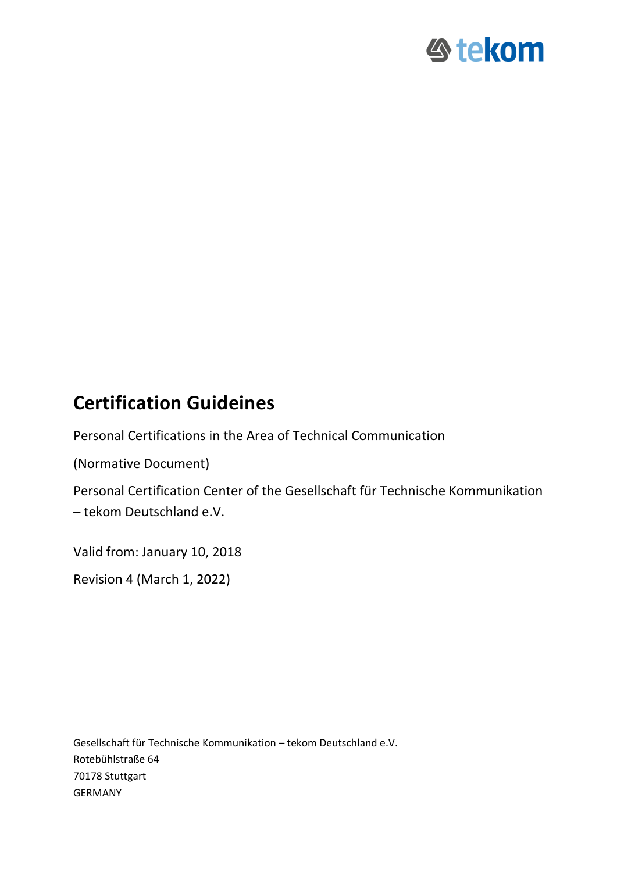

# **Certification Guideines**

Personal Certifications in the Area of Technical Communication

(Normative Document)

Personal Certification Center of the Gesellschaft für Technische Kommunikation – tekom Deutschland e.V.

Valid from: January 10, 2018

Revision 4 (March 1, 2022)

Gesellschaft für Technische Kommunikation – tekom Deutschland e.V. Rotebühlstraße 64 70178 Stuttgart GERMANY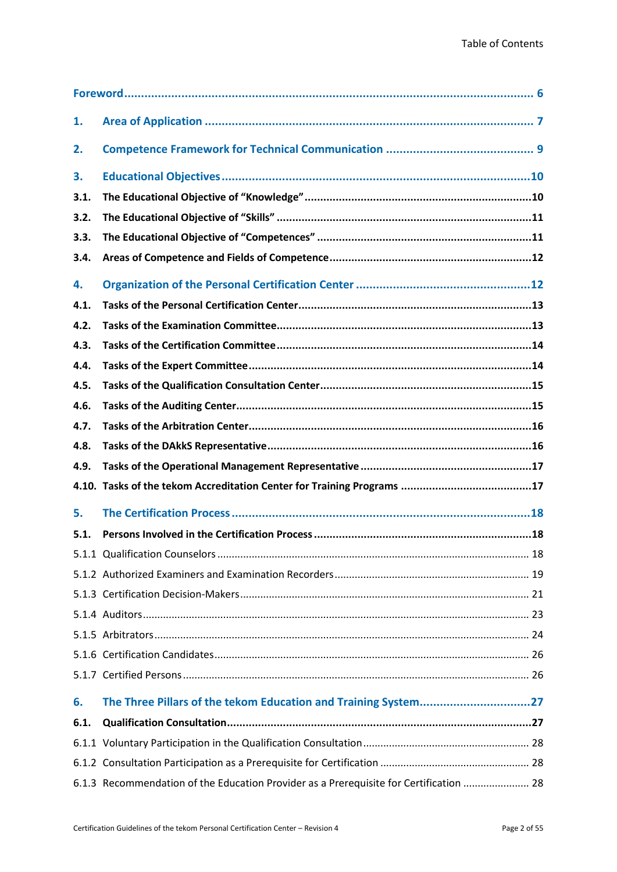| 1.   |                                                                |
|------|----------------------------------------------------------------|
| 2.   |                                                                |
| 3.   |                                                                |
| 3.1. |                                                                |
| 3.2. |                                                                |
| 3.3. |                                                                |
| 3.4. |                                                                |
| 4.   |                                                                |
| 4.1. |                                                                |
| 4.2. |                                                                |
| 4.3. |                                                                |
| 4.4. |                                                                |
| 4.5. |                                                                |
| 4.6. |                                                                |
| 4.7. |                                                                |
| 4.8. |                                                                |
| 4.9. |                                                                |
|      |                                                                |
| 5.   |                                                                |
| 5.1. |                                                                |
|      |                                                                |
|      |                                                                |
|      |                                                                |
|      |                                                                |
|      |                                                                |
|      |                                                                |
|      |                                                                |
|      |                                                                |
| 6.   | The Three Pillars of the tekom Education and Training System27 |
| 6.1. |                                                                |
|      |                                                                |
|      |                                                                |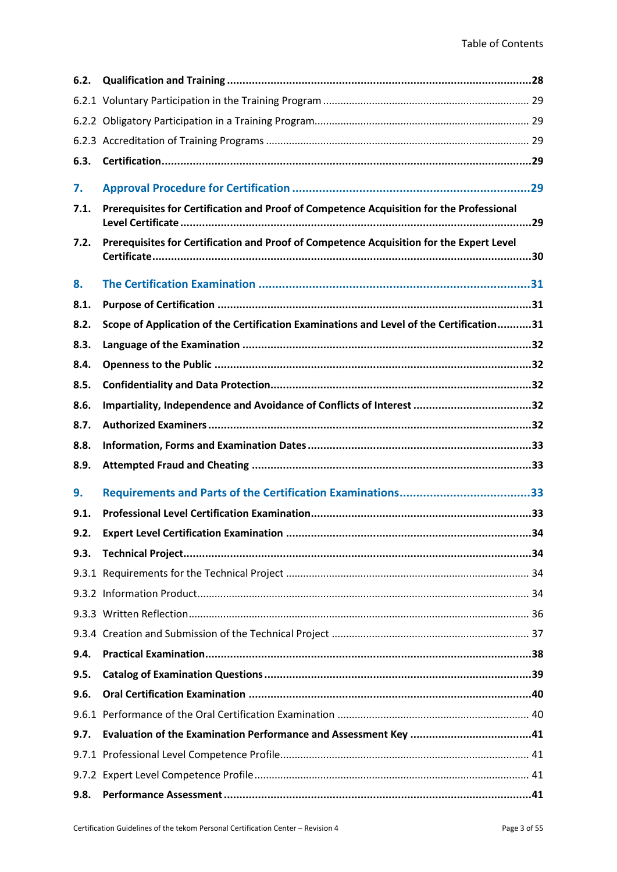| 6.2. |                                                                                          |
|------|------------------------------------------------------------------------------------------|
|      |                                                                                          |
|      |                                                                                          |
|      |                                                                                          |
| 6.3. |                                                                                          |
| 7.   |                                                                                          |
| 7.1. | Prerequisites for Certification and Proof of Competence Acquisition for the Professional |
| 7.2. | Prerequisites for Certification and Proof of Competence Acquisition for the Expert Level |
| 8.   |                                                                                          |
| 8.1. |                                                                                          |
| 8.2. | Scope of Application of the Certification Examinations and Level of the Certification31  |
| 8.3. |                                                                                          |
| 8.4. |                                                                                          |
| 8.5. |                                                                                          |
| 8.6. | Impartiality, Independence and Avoidance of Conflicts of Interest 32                     |
| 8.7. |                                                                                          |
| 8.8. |                                                                                          |
| 8.9. |                                                                                          |
| 9.   |                                                                                          |
| 9.1. |                                                                                          |
| 9.2. |                                                                                          |
| 9.3. |                                                                                          |
|      |                                                                                          |
|      |                                                                                          |
|      |                                                                                          |
|      |                                                                                          |
| 9.4. |                                                                                          |
| 9.5. |                                                                                          |
| 9.6. |                                                                                          |
|      |                                                                                          |
| 9.7. |                                                                                          |
|      |                                                                                          |
|      |                                                                                          |
| 9.8. |                                                                                          |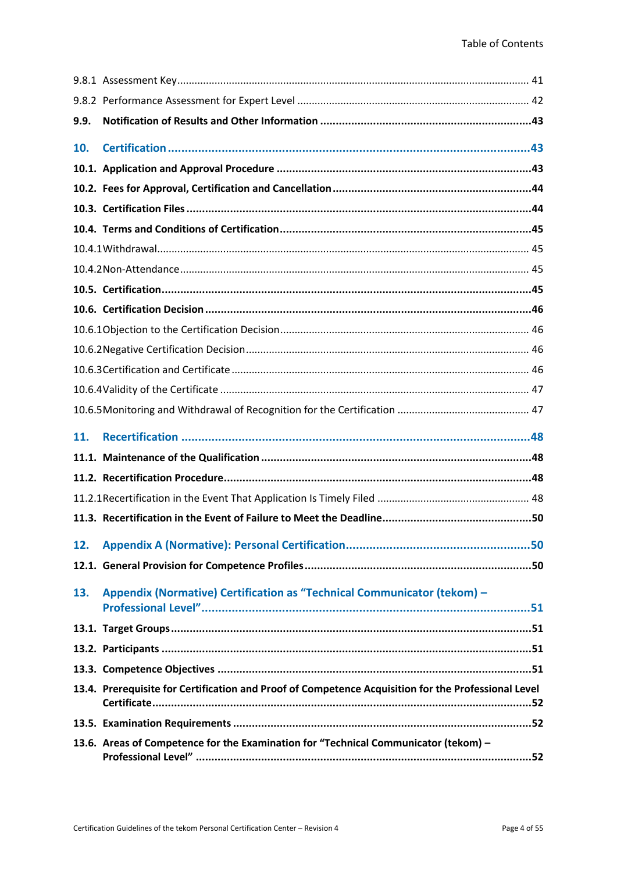| 9.9. |                                                                                                     |
|------|-----------------------------------------------------------------------------------------------------|
| 10.  |                                                                                                     |
|      |                                                                                                     |
|      |                                                                                                     |
|      |                                                                                                     |
|      |                                                                                                     |
|      |                                                                                                     |
|      |                                                                                                     |
|      |                                                                                                     |
|      |                                                                                                     |
|      |                                                                                                     |
|      |                                                                                                     |
|      |                                                                                                     |
|      |                                                                                                     |
|      |                                                                                                     |
| 11.  |                                                                                                     |
|      |                                                                                                     |
|      |                                                                                                     |
|      |                                                                                                     |
|      |                                                                                                     |
| 12.  |                                                                                                     |
|      |                                                                                                     |
| 13.  | Appendix (Normative) Certification as "Technical Communicator (tekom) -                             |
|      |                                                                                                     |
|      |                                                                                                     |
|      |                                                                                                     |
|      | 13.4. Prerequisite for Certification and Proof of Competence Acquisition for the Professional Level |
|      |                                                                                                     |
|      | 13.6. Areas of Competence for the Examination for "Technical Communicator (tekom) -                 |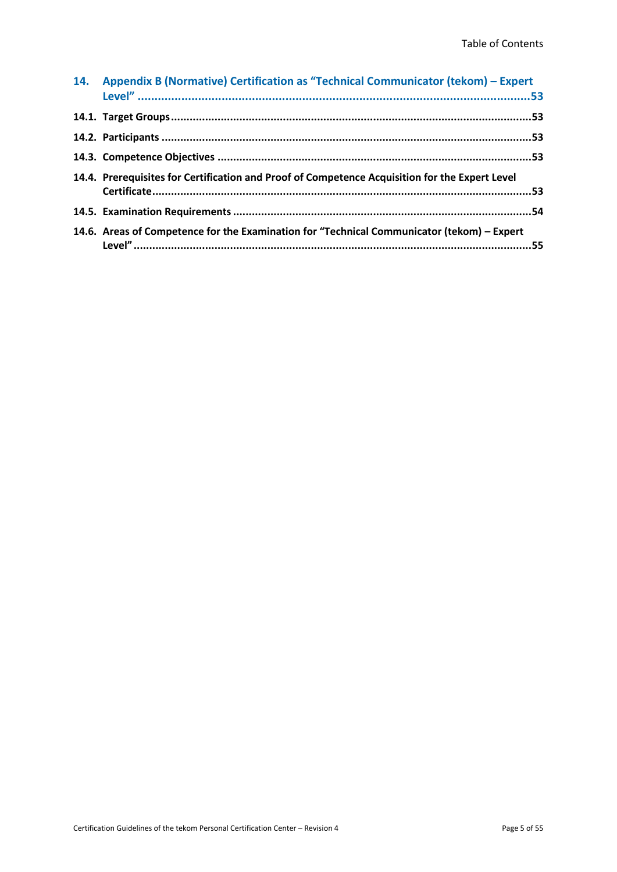| 14. Appendix B (Normative) Certification as "Technical Communicator (tekom) - Expert           |
|------------------------------------------------------------------------------------------------|
|                                                                                                |
|                                                                                                |
|                                                                                                |
| 14.4. Prerequisites for Certification and Proof of Competence Acquisition for the Expert Level |
|                                                                                                |
| 14.6. Areas of Competence for the Examination for "Technical Communicator (tekom) – Expert     |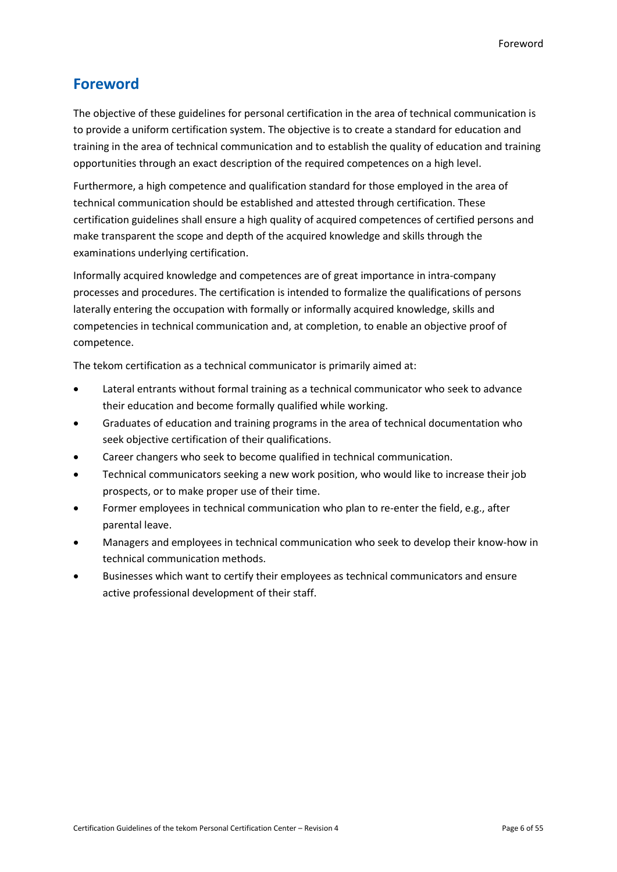# <span id="page-5-0"></span>**Foreword**

The objective of these guidelines for personal certification in the area of technical communication is to provide a uniform certification system. The objective is to create a standard for education and training in the area of technical communication and to establish the quality of education and training opportunities through an exact description of the required competences on a high level.

Furthermore, a high competence and qualification standard for those employed in the area of technical communication should be established and attested through certification. These certification guidelines shall ensure a high quality of acquired competences of certified persons and make transparent the scope and depth of the acquired knowledge and skills through the examinations underlying certification.

Informally acquired knowledge and competences are of great importance in intra-company processes and procedures. The certification is intended to formalize the qualifications of persons laterally entering the occupation with formally or informally acquired knowledge, skills and competencies in technical communication and, at completion, to enable an objective proof of competence.

The tekom certification as a technical communicator is primarily aimed at:

- Lateral entrants without formal training as a technical communicator who seek to advance their education and become formally qualified while working.
- Graduates of education and training programs in the area of technical documentation who seek objective certification of their qualifications.
- Career changers who seek to become qualified in technical communication.
- Technical communicators seeking a new work position, who would like to increase their job prospects, or to make proper use of their time.
- Former employees in technical communication who plan to re-enter the field, e.g., after parental leave.
- Managers and employees in technical communication who seek to develop their know-how in technical communication methods.
- Businesses which want to certify their employees as technical communicators and ensure active professional development of their staff.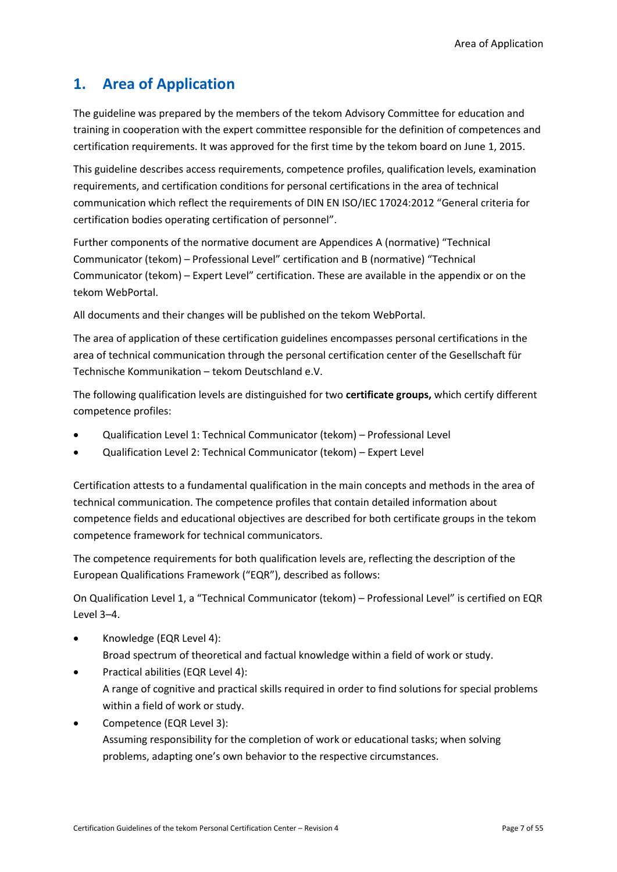# <span id="page-6-0"></span>**1. Area of Application**

The guideline was prepared by the members of the tekom Advisory Committee for education and training in cooperation with the expert committee responsible for the definition of competences and certification requirements. It was approved for the first time by the tekom board on June 1, 2015.

This guideline describes access requirements, competence profiles, qualification levels, examination requirements, and certification conditions for personal certifications in the area of technical communication which reflect the requirements of DIN EN ISO/IEC 17024:2012 "General criteria for certification bodies operating certification of personnel".

Further components of the normative document are Appendices A (normative) "Technical Communicator (tekom) – Professional Level" certification and B (normative) "Technical Communicator (tekom) – Expert Level" certification. These are available in the appendix or on the tekom WebPortal.

All documents and their changes will be published on the tekom WebPortal.

The area of application of these certification guidelines encompasses personal certifications in the area of technical communication through the personal certification center of the Gesellschaft für Technische Kommunikation – tekom Deutschland e.V.

The following qualification levels are distinguished for two **certificate groups,** which certify different competence profiles:

- Qualification Level 1: Technical Communicator (tekom) Professional Level
- Qualification Level 2: Technical Communicator (tekom) Expert Level

Certification attests to a fundamental qualification in the main concepts and methods in the area of technical communication. The competence profiles that contain detailed information about competence fields and educational objectives are described for both certificate groups in the tekom competence framework for technical communicators.

The competence requirements for both qualification levels are, reflecting the description of the European Qualifications Framework ("EQR"), described as follows:

On Qualification Level 1, a "Technical Communicator (tekom) – Professional Level" is certified on EQR Level 3–4.

- Knowledge (EQR Level 4): Broad spectrum of theoretical and factual knowledge within a field of work or study.
- Practical abilities (EQR Level 4): A range of cognitive and practical skills required in order to find solutions for special problems within a field of work or study.
- Competence (EQR Level 3): Assuming responsibility for the completion of work or educational tasks; when solving problems, adapting one's own behavior to the respective circumstances.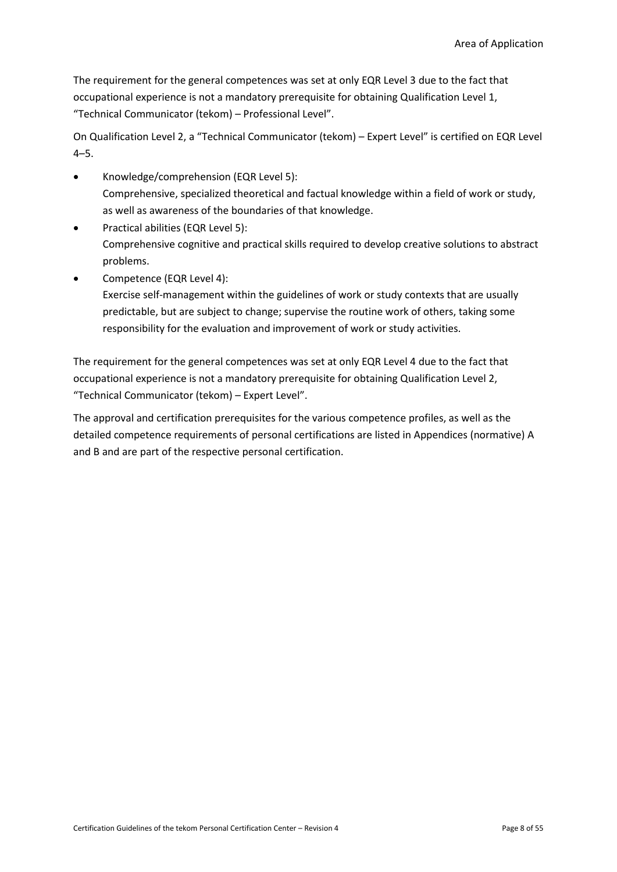The requirement for the general competences was set at only EQR Level 3 due to the fact that occupational experience is not a mandatory prerequisite for obtaining Qualification Level 1, "Technical Communicator (tekom) – Professional Level".

On Qualification Level 2, a "Technical Communicator (tekom) – Expert Level" is certified on EQR Level 4–5.

- Knowledge/comprehension (EQR Level 5): Comprehensive, specialized theoretical and factual knowledge within a field of work or study, as well as awareness of the boundaries of that knowledge.
- Practical abilities (EQR Level 5): Comprehensive cognitive and practical skills required to develop creative solutions to abstract problems.
- Competence (EQR Level 4):

Exercise self-management within the guidelines of work or study contexts that are usually predictable, but are subject to change; supervise the routine work of others, taking some responsibility for the evaluation and improvement of work or study activities.

The requirement for the general competences was set at only EQR Level 4 due to the fact that occupational experience is not a mandatory prerequisite for obtaining Qualification Level 2, "Technical Communicator (tekom) – Expert Level".

The approval and certification prerequisites for the various competence profiles, as well as the detailed competence requirements of personal certifications are listed in Appendices (normative) A and B and are part of the respective personal certification.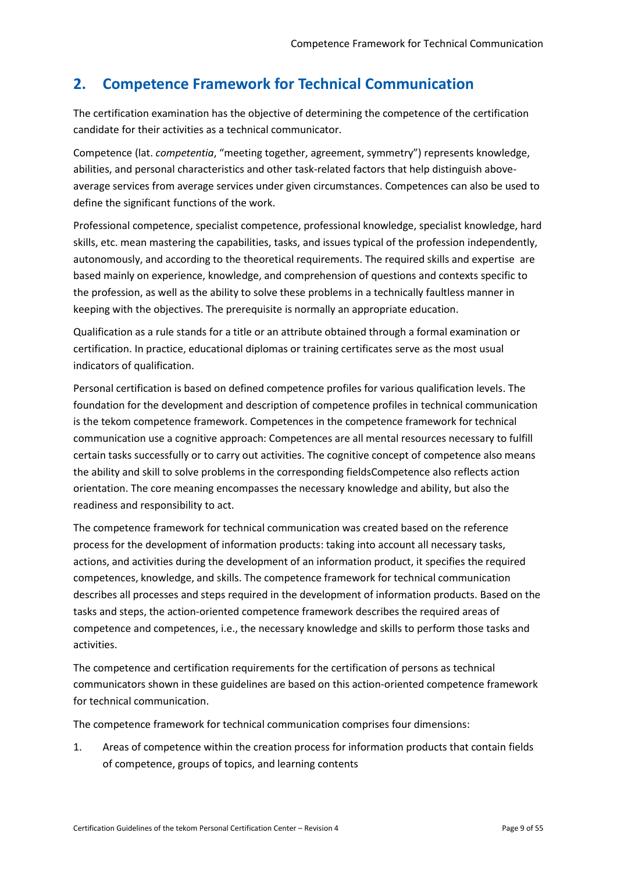# <span id="page-8-0"></span>**2. Competence Framework for Technical Communication**

The certification examination has the objective of determining the competence of the certification candidate for their activities as a technical communicator.

Competence (lat. *competentia*, "meeting together, agreement, symmetry") represents knowledge, abilities, and personal characteristics and other task-related factors that help distinguish aboveaverage services from average services under given circumstances. Competences can also be used to define the significant functions of the work.

Professional competence, specialist competence, professional knowledge, specialist knowledge, hard skills, etc. mean mastering the capabilities, tasks, and issues typical of the profession independently, autonomously, and according to the theoretical requirements. The required skills and expertise are based mainly on experience, knowledge, and comprehension of questions and contexts specific to the profession, as well as the ability to solve these problems in a technically faultless manner in keeping with the objectives. The prerequisite is normally an appropriate education.

Qualification as a rule stands for a title or an attribute obtained through a formal examination or certification. In practice, educational diplomas or training certificates serve as the most usual indicators of qualification.

Personal certification is based on defined competence profiles for various qualification levels. The foundation for the development and description of competence profiles in technical communication is the tekom competence framework. Competences in the competence framework for technical communication use a cognitive approach: Competences are all mental resources necessary to fulfill certain tasks successfully or to carry out activities. The cognitive concept of competence also means the ability and skill to solve problems in the corresponding fieldsCompetence also reflects action orientation. The core meaning encompasses the necessary knowledge and ability, but also the readiness and responsibility to act.

The competence framework for technical communication was created based on the reference process for the development of information products: taking into account all necessary tasks, actions, and activities during the development of an information product, it specifies the required competences, knowledge, and skills. The competence framework for technical communication describes all processes and steps required in the development of information products. Based on the tasks and steps, the action-oriented competence framework describes the required areas of competence and competences, i.e., the necessary knowledge and skills to perform those tasks and activities.

The competence and certification requirements for the certification of persons as technical communicators shown in these guidelines are based on this action-oriented competence framework for technical communication.

The competence framework for technical communication comprises four dimensions:

1. Areas of competence within the creation process for information products that contain fields of competence, groups of topics, and learning contents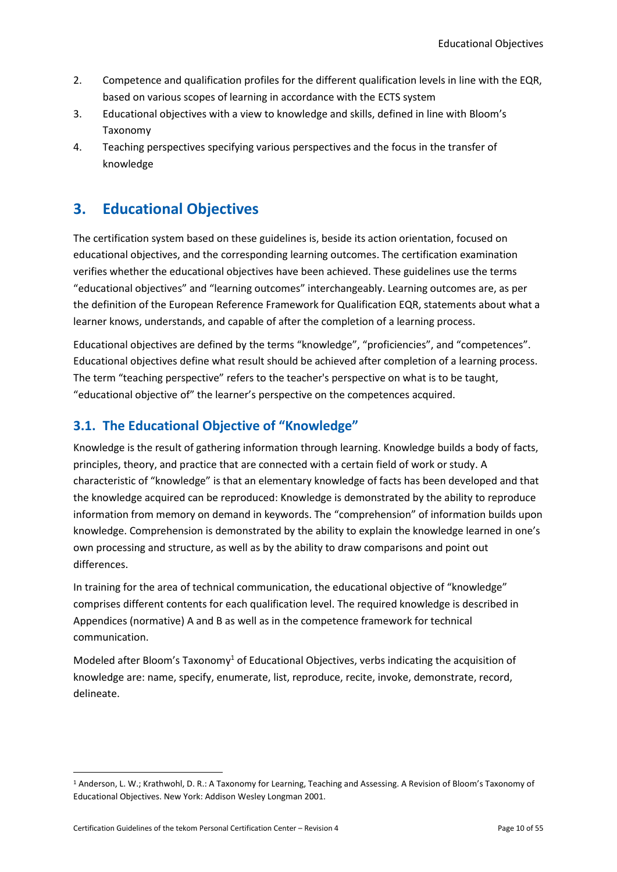- 2. Competence and qualification profiles for the different qualification levels in line with the EQR, based on various scopes of learning in accordance with the ECTS system
- 3. Educational objectives with a view to knowledge and skills, defined in line with Bloom's Taxonomy
- 4. Teaching perspectives specifying various perspectives and the focus in the transfer of knowledge

# <span id="page-9-0"></span>**3. Educational Objectives**

The certification system based on these guidelines is, beside its action orientation, focused on educational objectives, and the corresponding learning outcomes. The certification examination verifies whether the educational objectives have been achieved. These guidelines use the terms "educational objectives" and "learning outcomes" interchangeably. Learning outcomes are, as per the definition of the European Reference Framework for Qualification EQR, statements about what a learner knows, understands, and capable of after the completion of a learning process.

Educational objectives are defined by the terms "knowledge", "proficiencies", and "competences". Educational objectives define what result should be achieved after completion of a learning process. The term "teaching perspective" refers to the teacher's perspective on what is to be taught, "educational objective of" the learner's perspective on the competences acquired.

# <span id="page-9-1"></span>**3.1. The Educational Objective of "Knowledge"**

Knowledge is the result of gathering information through learning. Knowledge builds a body of facts, principles, theory, and practice that are connected with a certain field of work or study. A characteristic of "knowledge" is that an elementary knowledge of facts has been developed and that the knowledge acquired can be reproduced: Knowledge is demonstrated by the ability to reproduce information from memory on demand in keywords. The "comprehension" of information builds upon knowledge. Comprehension is demonstrated by the ability to explain the knowledge learned in one's own processing and structure, as well as by the ability to draw comparisons and point out differences.

In training for the area of technical communication, the educational objective of "knowledge" comprises different contents for each qualification level. The required knowledge is described in Appendices (normative) A and B as well as in the competence framework for technical communication.

Modeled after Bloom's Taxonomy<sup>1</sup> of Educational Objectives, verbs indicating the acquisition of knowledge are: name, specify, enumerate, list, reproduce, recite, invoke, demonstrate, record, delineate.

<sup>1</sup> Anderson, L. W.; Krathwohl, D. R.: A Taxonomy for Learning, Teaching and Assessing. A Revision of Bloom's Taxonomy of Educational Objectives. New York: Addison Wesley Longman 2001.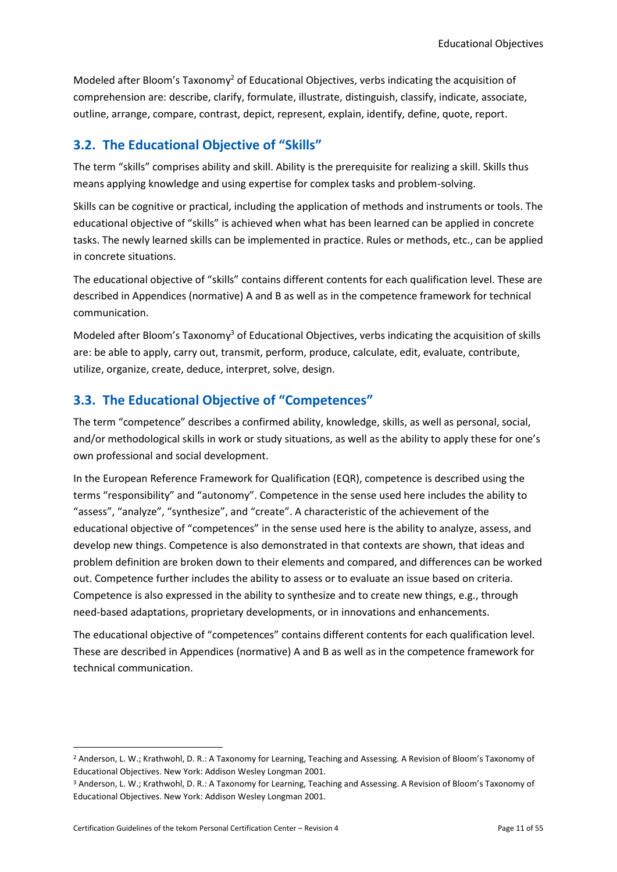Modeled after Bloom's Taxonomy<sup>2</sup> of Educational Objectives, verbs indicating the acquisition of comprehension are: describe, clarify, formulate, illustrate, distinguish, classify, indicate, associate, outline, arrange, compare, contrast, depict, represent, explain, identify, define, quote, report.

## <span id="page-10-0"></span>**3.2. The Educational Objective of "Skills"**

The term "skills" comprises ability and [skill.](file:///C:/wiki/FÃ¤higkeit) Ability is the prerequisite for realizing a skill. Skills thus means applying knowledge and using expertise for complex tasks and problem-solving.

Skills can be cognitive or practical, including the application of methods and instruments or tools. The educational objective of "skills" is achieved when what has been learned can be applied in concrete tasks. The newly learned skills can be implemented in practice. Rules or methods, etc., can be applied in concrete situations.

The educational objective of "skills" contains different contents for each qualification level. These are described in Appendices (normative) A and B as well as in the competence framework for technical communication.

Modeled after Bloom's Taxonomy<sup>3</sup> of Educational Objectives, verbs indicating the acquisition of skills are: be able to apply, carry out, transmit, perform, produce, calculate, edit, evaluate, contribute, utilize, organize, create, deduce, interpret, solve, design.

## <span id="page-10-1"></span>**3.3. The Educational Objective of "Competences"**

The term "competence" describes a confirmed ability, knowledge, skills, as well as personal, social, and/or methodological skills in work or study situations, as well as the ability to apply these for one's own professional and social development.

In the European Reference Framework for Qualification (EQR), competence is described using the terms "responsibility" and "autonomy". Competence in the sense used here includes the ability to "assess", "analyze", "synthesize", and "create". A characteristic of the achievement of the educational objective of "competences" in the sense used here is the ability to analyze, assess, and develop new things. Competence is also demonstrated in that contexts are shown, that ideas and problem definition are broken down to their elements and compared, and differences can be worked out. Competence further includes the ability to assess or to evaluate an issue based on criteria. Competence is also expressed in the ability to synthesize and to create new things, e.g., through need-based adaptations, proprietary developments, or in innovations and enhancements.

The educational objective of "competences" contains different contents for each qualification level. These are described in Appendices (normative) A and B as well as in the competence framework for technical communication.

<sup>&</sup>lt;sup>2</sup> Anderson, L. W.; Krathwohl, D. R.: A Taxonomy for Learning, Teaching and Assessing. A Revision of Bloom's Taxonomy of Educational Objectives. New York: Addison Wesley Longman 2001.

<sup>3</sup> Anderson, L. W.; Krathwohl, D. R.: A Taxonomy for Learning, Teaching and Assessing. A Revision of Bloom's Taxonomy of Educational Objectives. New York: Addison Wesley Longman 2001.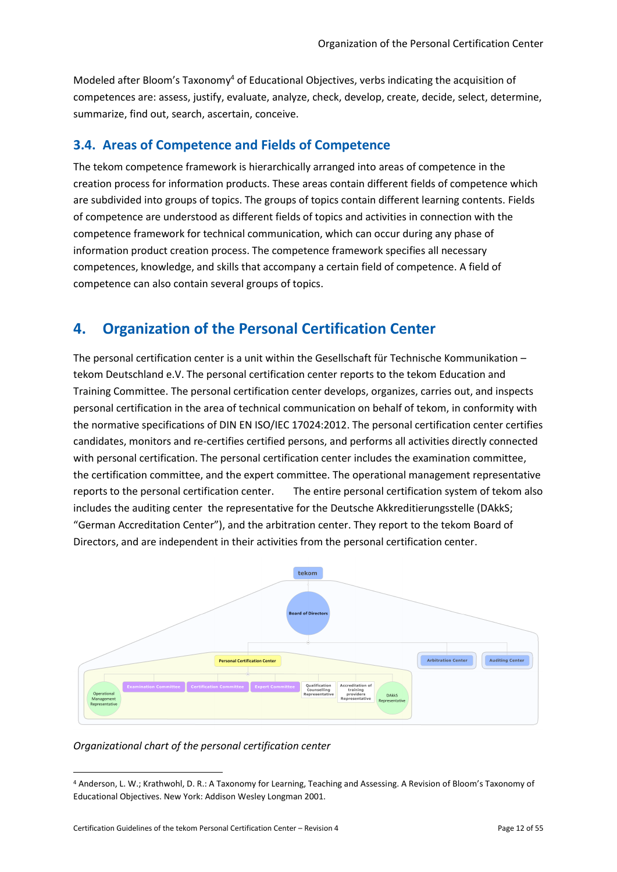Modeled after Bloom's Taxonomy<sup>4</sup> of Educational Objectives, verbs indicating the acquisition of competences are: assess, justify, evaluate, analyze, check, develop, create, decide, select, determine, summarize, find out, search, ascertain, conceive.

## <span id="page-11-0"></span>**3.4. Areas of Competence and Fields of Competence**

The tekom competence framework is hierarchically arranged into areas of competence in the creation process for information products. These areas contain different fields of competence which are subdivided into groups of topics. The groups of topics contain different learning contents. Fields of competence are understood as different fields of topics and activities in connection with the competence framework for technical communication, which can occur during any phase of information product creation process. The competence framework specifies all necessary competences, knowledge, and skills that accompany a certain field of competence. A field of competence can also contain several groups of topics.

# <span id="page-11-1"></span>**4. Organization of the Personal Certification Center**

The personal certification center is a unit within the Gesellschaft für Technische Kommunikation – tekom Deutschland e.V. The personal certification center reports to the tekom Education and Training Committee. The personal certification center develops, organizes, carries out, and inspects personal certification in the area of technical communication on behalf of tekom, in conformity with the normative specifications of DIN EN ISO/IEC 17024:2012. The personal certification center certifies candidates, monitors and re-certifies certified persons, and performs all activities directly connected with personal certification. The personal certification center includes the examination committee, the certification committee, and the expert committee. The operational management representative reports to the personal certification center. The entire personal certification system of tekom also includes the auditing center the representative for the Deutsche Akkreditierungsstelle (DAkkS; "German Accreditation Center"), and the arbitration center. They report to the tekom Board of Directors, and are independent in their activities from the personal certification center.



## *Organizational chart of the personal certification center*

<sup>4</sup> Anderson, L. W.; Krathwohl, D. R.: A Taxonomy for Learning, Teaching and Assessing. A Revision of Bloom's Taxonomy of Educational Objectives. New York: Addison Wesley Longman 2001.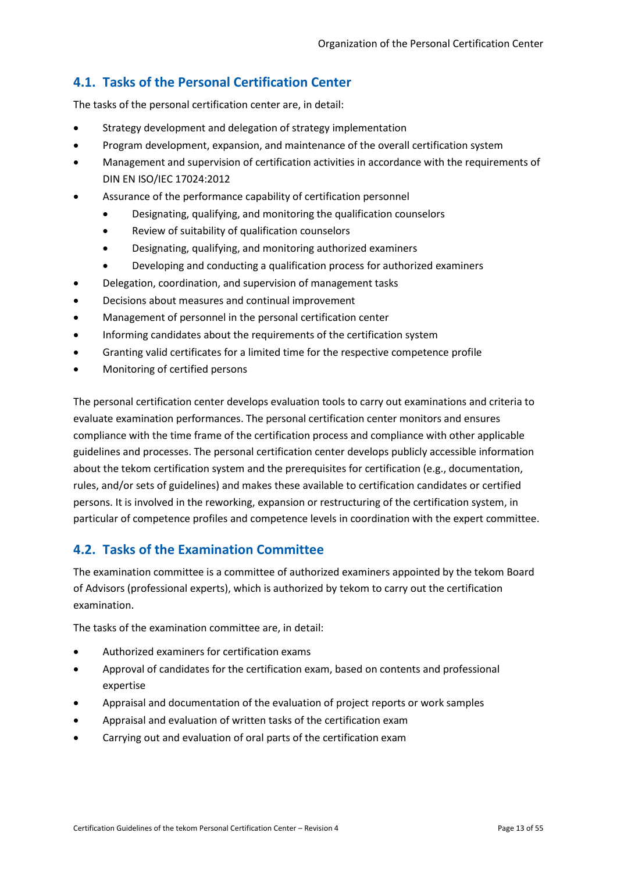# <span id="page-12-0"></span>**4.1. Tasks of the Personal Certification Center**

The tasks of the personal certification center are, in detail:

- Strategy development and delegation of strategy implementation
- Program development, expansion, and maintenance of the overall certification system
- Management and supervision of certification activities in accordance with the requirements of DIN EN ISO/IEC 17024:2012
- Assurance of the performance capability of certification personnel
	- Designating, qualifying, and monitoring the qualification counselors
	- Review of suitability of qualification counselors
	- Designating, qualifying, and monitoring authorized examiners
	- Developing and conducting a qualification process for authorized examiners
- Delegation, coordination, and supervision of management tasks
- Decisions about measures and continual improvement
- Management of personnel in the personal certification center
- Informing candidates about the requirements of the certification system
- Granting valid certificates for a limited time for the respective competence profile
- Monitoring of certified persons

The personal certification center develops evaluation tools to carry out examinations and criteria to evaluate examination performances. The personal certification center monitors and ensures compliance with the time frame of the certification process and compliance with other applicable guidelines and processes. The personal certification center develops publicly accessible information about the tekom certification system and the prerequisites for certification (e.g., documentation, rules, and/or sets of guidelines) and makes these available to certification candidates or certified persons. It is involved in the reworking, expansion or restructuring of the certification system, in particular of competence profiles and competence levels in coordination with the expert committee.

## <span id="page-12-1"></span>**4.2. Tasks of the Examination Committee**

The examination committee is a committee of authorized examiners appointed by the tekom Board of Advisors (professional experts), which is authorized by tekom to carry out the certification examination.

The tasks of the examination committee are, in detail:

- Authorized examiners for certification exams
- Approval of candidates for the certification exam, based on contents and professional expertise
- Appraisal and documentation of the evaluation of project reports or work samples
- Appraisal and evaluation of written tasks of the certification exam
- Carrying out and evaluation of oral parts of the certification exam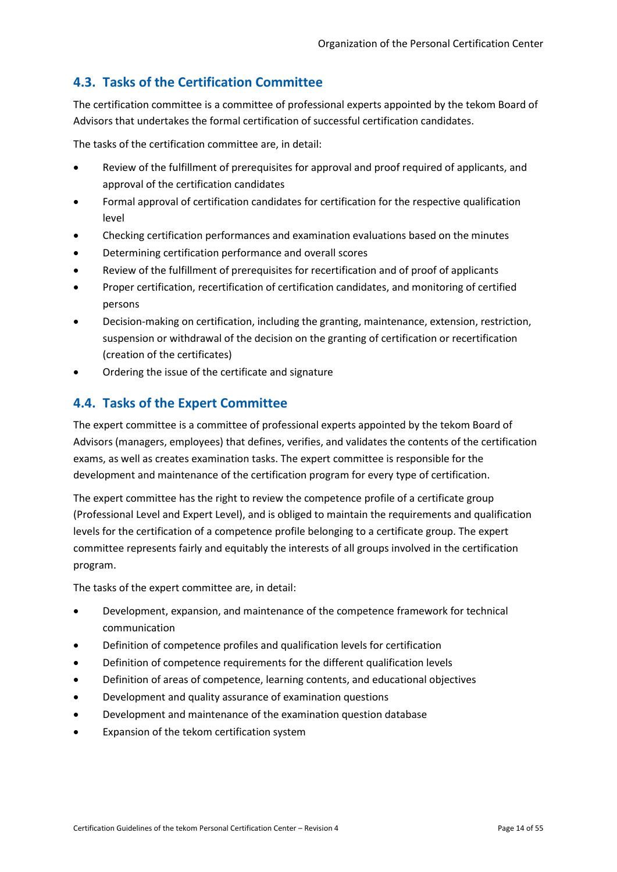# <span id="page-13-0"></span>**4.3. Tasks of the Certification Committee**

The certification committee is a committee of professional experts appointed by the tekom Board of Advisors that undertakes the formal certification of successful certification candidates.

The tasks of the certification committee are, in detail:

- Review of the fulfillment of prerequisites for approval and proof required of applicants, and approval of the certification candidates
- Formal approval of certification candidates for certification for the respective qualification level
- Checking certification performances and examination evaluations based on the minutes
- Determining certification performance and overall scores
- Review of the fulfillment of prerequisites for recertification and of proof of applicants
- Proper certification, recertification of certification candidates, and monitoring of certified persons
- Decision-making on certification, including the granting, maintenance, extension, restriction, suspension or withdrawal of the decision on the granting of certification or recertification (creation of the certificates)
- Ordering the issue of the certificate and signature

# <span id="page-13-1"></span>**4.4. Tasks of the Expert Committee**

The expert committee is a committee of professional experts appointed by the tekom Board of Advisors (managers, employees) that defines, verifies, and validates the contents of the certification exams, as well as creates examination tasks. The expert committee is responsible for the development and maintenance of the certification program for every type of certification.

The expert committee has the right to review the competence profile of a certificate group (Professional Level and Expert Level), and is obliged to maintain the requirements and qualification levels for the certification of a competence profile belonging to a certificate group. The expert committee represents fairly and equitably the interests of all groups involved in the certification program.

The tasks of the expert committee are, in detail:

- Development, expansion, and maintenance of the competence framework for technical communication
- Definition of competence profiles and qualification levels for certification
- Definition of competence requirements for the different qualification levels
- Definition of areas of competence, learning contents, and educational objectives
- Development and quality assurance of examination questions
- Development and maintenance of the examination question database
- Expansion of the tekom certification system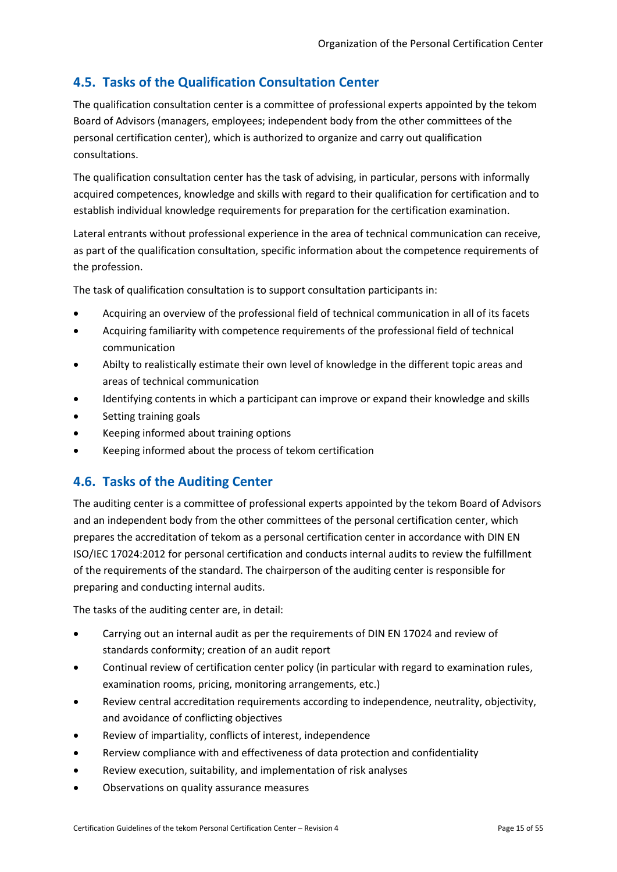# <span id="page-14-0"></span>**4.5. Tasks of the Qualification Consultation Center**

The qualification consultation center is a committee of professional experts appointed by the tekom Board of Advisors (managers, employees; independent body from the other committees of the personal certification center), which is authorized to organize and carry out qualification consultations.

The qualification consultation center has the task of advising, in particular, persons with informally acquired competences, knowledge and skills with regard to their qualification for certification and to establish individual knowledge requirements for preparation for the certification examination.

Lateral entrants without professional experience in the area of technical communication can receive, as part of the qualification consultation, specific information about the competence requirements of the profession.

The task of qualification consultation is to support consultation participants in:

- Acquiring an overview of the professional field of technical communication in all of its facets
- Acquiring familiarity with competence requirements of the professional field of technical communication
- Abilty to realistically estimate their own level of knowledge in the different topic areas and areas of technical communication
- Identifying contents in which a participant can improve or expand their knowledge and skills
- Setting training goals
- Keeping informed about training options
- Keeping informed about the process of tekom certification

# <span id="page-14-1"></span>**4.6. Tasks of the Auditing Center**

The auditing center is a committee of professional experts appointed by the tekom Board of Advisors and an independent body from the other committees of the personal certification center, which prepares the accreditation of tekom as a personal certification center in accordance with DIN EN ISO/IEC 17024:2012 for personal certification and conducts internal audits to review the fulfillment of the requirements of the standard. The chairperson of the auditing center is responsible for preparing and conducting internal audits.

The tasks of the auditing center are, in detail:

- Carrying out an internal audit as per the requirements of DIN EN 17024 and review of standards conformity; creation of an audit report
- Continual review of certification center policy (in particular with regard to examination rules, examination rooms, pricing, monitoring arrangements, etc.)
- Review central accreditation requirements according to independence, neutrality, objectivity, and avoidance of conflicting objectives
- Review of impartiality, conflicts of interest, independence
- Rerview compliance with and effectiveness of data protection and confidentiality
- Review execution, suitability, and implementation of risk analyses
- Observations on quality assurance measures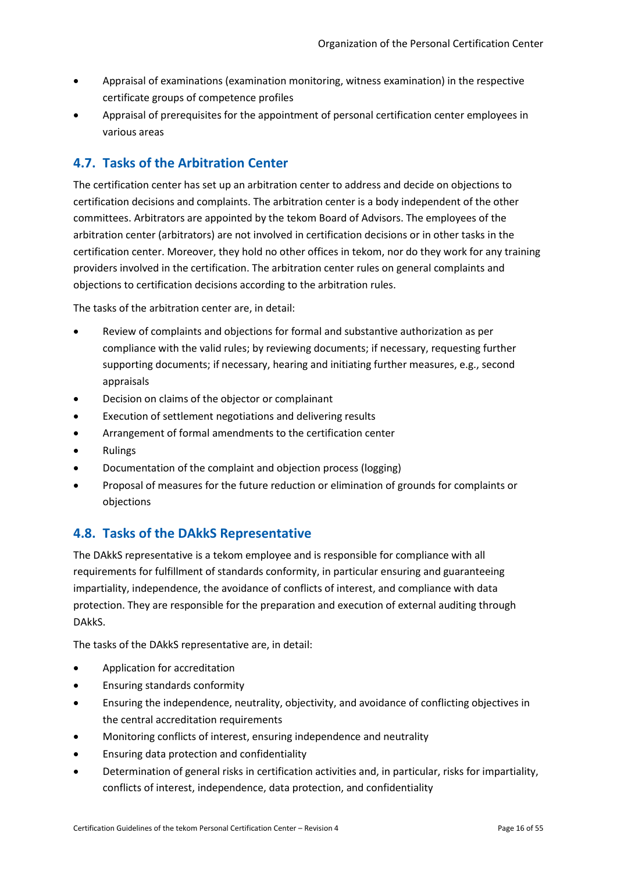- Appraisal of examinations (examination monitoring, witness examination) in the respective certificate groups of competence profiles
- Appraisal of prerequisites for the appointment of personal certification center employees in various areas

# <span id="page-15-0"></span>**4.7. Tasks of the Arbitration Center**

The certification center has set up an arbitration center to address and decide on objections to certification decisions and complaints. The arbitration center is a body independent of the other committees. Arbitrators are appointed by the tekom Board of Advisors. The employees of the arbitration center (arbitrators) are not involved in certification decisions or in other tasks in the certification center. Moreover, they hold no other offices in tekom, nor do they work for any training providers involved in the certification. The arbitration center rules on general complaints and objections to certification decisions according to the arbitration rules.

The tasks of the arbitration center are, in detail:

- Review of complaints and objections for formal and substantive authorization as per compliance with the valid rules; by reviewing documents; if necessary, requesting further supporting documents; if necessary, hearing and initiating further measures, e.g., second appraisals
- Decision on claims of the objector or complainant
- Execution of settlement negotiations and delivering results
- Arrangement of formal amendments to the certification center
- **Rulings**
- Documentation of the complaint and objection process (logging)
- Proposal of measures for the future reduction or elimination of grounds for complaints or objections

## <span id="page-15-1"></span>**4.8. Tasks of the DAkkS Representative**

The DAkkS representative is a tekom employee and is responsible for compliance with all requirements for fulfillment of standards conformity, in particular ensuring and guaranteeing impartiality, independence, the avoidance of conflicts of interest, and compliance with data protection. They are responsible for the preparation and execution of external auditing through DAkkS.

The tasks of the DAkkS representative are, in detail:

- Application for accreditation
- Ensuring standards conformity
- Ensuring the independence, neutrality, objectivity, and avoidance of conflicting objectives in the central accreditation requirements
- Monitoring conflicts of interest, ensuring independence and neutrality
- Ensuring data protection and confidentiality
- Determination of general risks in certification activities and, in particular, risks for impartiality, conflicts of interest, independence, data protection, and confidentiality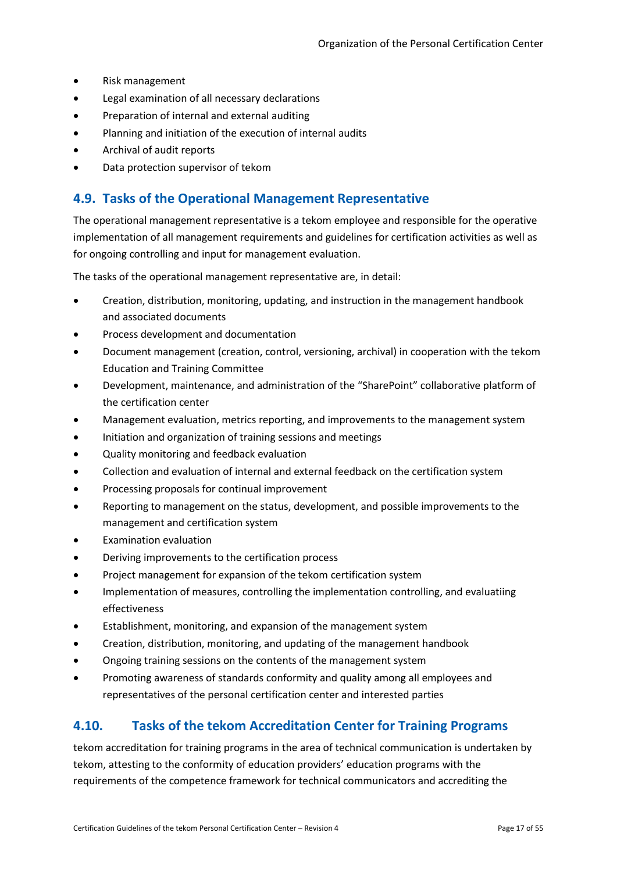- Risk management
- Legal examination of all necessary declarations
- Preparation of internal and external auditing
- Planning and initiation of the execution of internal audits
- Archival of audit reports
- Data protection supervisor of tekom

## <span id="page-16-0"></span>**4.9. Tasks of the Operational Management Representative**

The operational management representative is a tekom employee and responsible for the operative implementation of all management requirements and guidelines for certification activities as well as for ongoing controlling and input for management evaluation.

The tasks of the operational management representative are, in detail:

- Creation, distribution, monitoring, updating, and instruction in the management handbook and associated documents
- Process development and documentation
- Document management (creation, control, versioning, archival) in cooperation with the tekom Education and Training Committee
- Development, maintenance, and administration of the "SharePoint" collaborative platform of the certification center
- Management evaluation, metrics reporting, and improvements to the management system
- Initiation and organization of training sessions and meetings
- Quality monitoring and feedback evaluation
- Collection and evaluation of internal and external feedback on the certification system
- Processing proposals for continual improvement
- Reporting to management on the status, development, and possible improvements to the management and certification system
- Examination evaluation
- Deriving improvements to the certification process
- Project management for expansion of the tekom certification system
- Implementation of measures, controlling the implementation controlling, and evaluatiing effectiveness
- Establishment, monitoring, and expansion of the management system
- Creation, distribution, monitoring, and updating of the management handbook
- Ongoing training sessions on the contents of the management system
- Promoting awareness of standards conformity and quality among all employees and representatives of the personal certification center and interested parties

## <span id="page-16-1"></span>**4.10. Tasks of the tekom Accreditation Center for Training Programs**

tekom accreditation for training programs in the area of technical communication is undertaken by tekom, attesting to the conformity of education providers' education programs with the requirements of the competence framework for technical communicators and accrediting the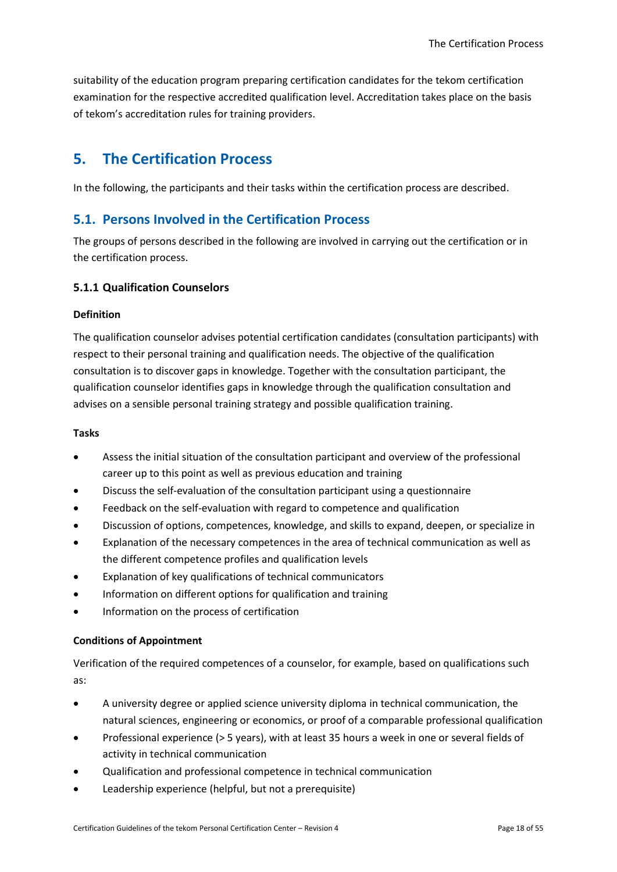suitability of the education program preparing certification candidates for the tekom certification examination for the respective accredited qualification level. Accreditation takes place on the basis of tekom's accreditation rules for training providers.

# <span id="page-17-0"></span>**5. The Certification Process**

In the following, the participants and their tasks within the certification process are described.

## <span id="page-17-1"></span>**5.1. Persons Involved in the Certification Process**

The groups of persons described in the following are involved in carrying out the certification or in the certification process.

## <span id="page-17-2"></span>**5.1.1 Qualification Counselors**

#### **Definition**

The qualification counselor advises potential certification candidates (consultation participants) with respect to their personal training and qualification needs. The objective of the qualification consultation is to discover gaps in knowledge. Together with the consultation participant, the qualification counselor identifies gaps in knowledge through the qualification consultation and advises on a sensible personal training strategy and possible qualification training.

#### **Tasks**

- Assess the initial situation of the consultation participant and overview of the professional career up to this point as well as previous education and training
- Discuss the self-evaluation of the consultation participant using a questionnaire
- Feedback on the self-evaluation with regard to competence and qualification
- Discussion of options, competences, knowledge, and skills to expand, deepen, or specialize in
- Explanation of the necessary competences in the area of technical communication as well as the different competence profiles and qualification levels
- Explanation of key qualifications of technical communicators
- Information on different options for qualification and training
- Information on the process of certification

#### **Conditions of Appointment**

Verification of the required competences of a counselor, for example, based on qualifications such as:

- A university degree or applied science university diploma in technical communication, the natural sciences, engineering or economics, or proof of a comparable professional qualification
- Professional experience (> 5 years), with at least 35 hours a week in one or several fields of activity in technical communication
- Qualification and professional competence in technical communication
- Leadership experience (helpful, but not a prerequisite)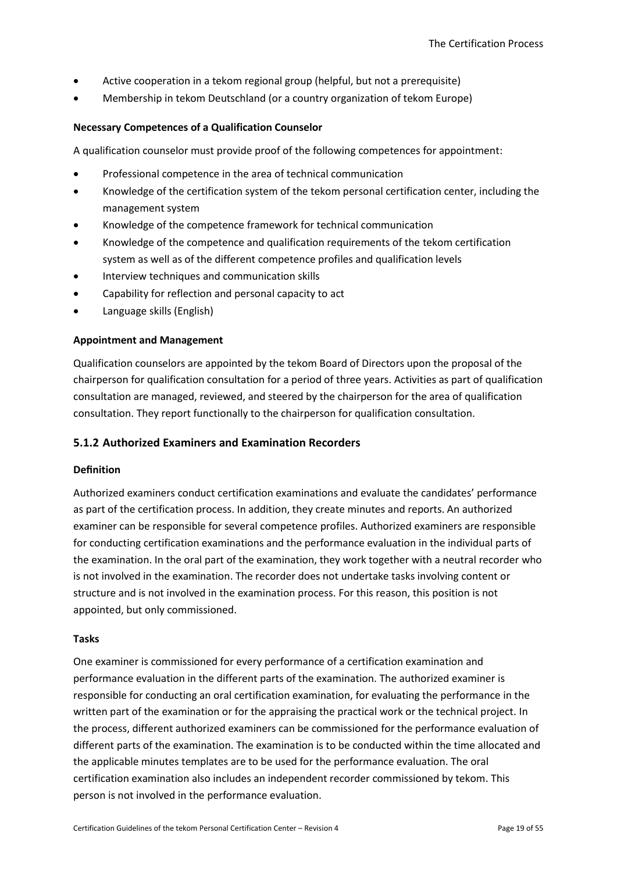- Active cooperation in a tekom regional group (helpful, but not a prerequisite)
- Membership in tekom Deutschland (or a country organization of tekom Europe)

#### **Necessary Competences of a Qualification Counselor**

A qualification counselor must provide proof of the following competences for appointment:

- Professional competence in the area of technical communication
- Knowledge of the certification system of the tekom personal certification center, including the management system
- Knowledge of the competence framework for technical communication
- Knowledge of the competence and qualification requirements of the tekom certification system as well as of the different competence profiles and qualification levels
- Interview techniques and communication skills
- Capability for reflection and personal capacity to act
- Language skills (English)

#### **Appointment and Management**

Qualification counselors are appointed by the tekom Board of Directors upon the proposal of the chairperson for qualification consultation for a period of three years. Activities as part of qualification consultation are managed, reviewed, and steered by the chairperson for the area of qualification consultation. They report functionally to the chairperson for qualification consultation.

#### <span id="page-18-0"></span>**5.1.2 Authorized Examiners and Examination Recorders**

#### **Definition**

Authorized examiners conduct certification examinations and evaluate the candidates' performance as part of the certification process. In addition, they create minutes and reports. An authorized examiner can be responsible for several competence profiles. Authorized examiners are responsible for conducting certification examinations and the performance evaluation in the individual parts of the examination. In the oral part of the examination, they work together with a neutral recorder who is not involved in the examination. The recorder does not undertake tasks involving content or structure and is not involved in the examination process. For this reason, this position is not appointed, but only commissioned.

#### **Tasks**

One examiner is commissioned for every performance of a certification examination and performance evaluation in the different parts of the examination. The authorized examiner is responsible for conducting an oral certification examination, for evaluating the performance in the written part of the examination or for the appraising the practical work or the technical project. In the process, different authorized examiners can be commissioned for the performance evaluation of different parts of the examination. The examination is to be conducted within the time allocated and the applicable minutes templates are to be used for the performance evaluation. The oral certification examination also includes an independent recorder commissioned by tekom. This person is not involved in the performance evaluation.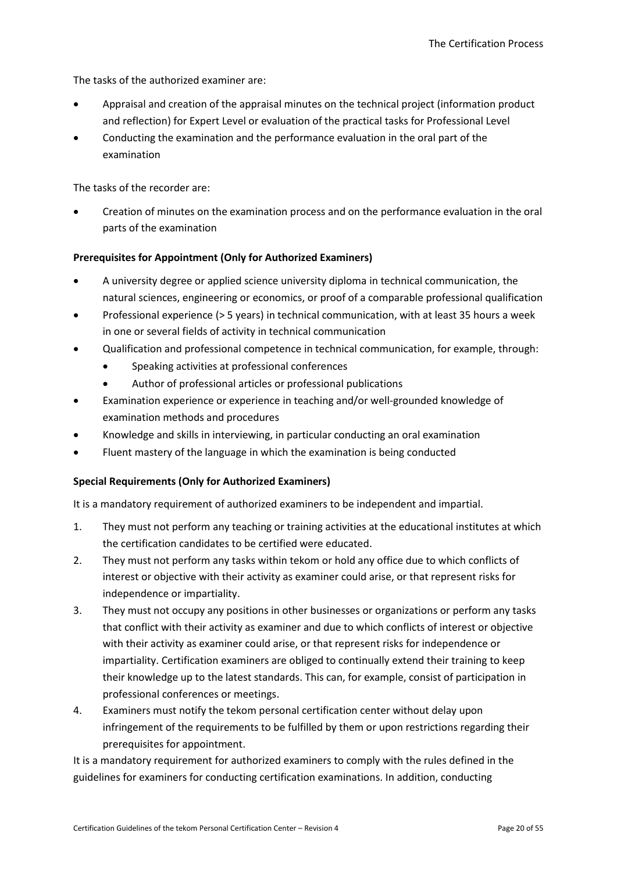The tasks of the authorized examiner are:

- Appraisal and creation of the appraisal minutes on the technical project (information product and reflection) for Expert Level or evaluation of the practical tasks for Professional Level
- Conducting the examination and the performance evaluation in the oral part of the examination

The tasks of the recorder are:

• Creation of minutes on the examination process and on the performance evaluation in the oral parts of the examination

#### **Prerequisites for Appointment (Only for Authorized Examiners)**

- A university degree or applied science university diploma in technical communication, the natural sciences, engineering or economics, or proof of a comparable professional qualification
- Professional experience (> 5 years) in technical communication, with at least 35 hours a week in one or several fields of activity in technical communication
- Qualification and professional competence in technical communication, for example, through:
	- Speaking activities at professional conferences
	- Author of professional articles or professional publications
- Examination experience or experience in teaching and/or well-grounded knowledge of examination methods and procedures
- Knowledge and skills in interviewing, in particular conducting an oral examination
- Fluent mastery of the language in which the examination is being conducted

## **Special Requirements (Only for Authorized Examiners)**

It is a mandatory requirement of authorized examiners to be independent and impartial.

- 1. They must not perform any teaching or training activities at the educational institutes at which the certification candidates to be certified were educated.
- 2. They must not perform any tasks within tekom or hold any office due to which conflicts of interest or objective with their activity as examiner could arise, or that represent risks for independence or impartiality.
- 3. They must not occupy any positions in other businesses or organizations or perform any tasks that conflict with their activity as examiner and due to which conflicts of interest or objective with their activity as examiner could arise, or that represent risks for independence or impartiality. Certification examiners are obliged to continually extend their training to keep their knowledge up to the latest standards. This can, for example, consist of participation in professional conferences or meetings.
- 4. Examiners must notify the tekom personal certification center without delay upon infringement of the requirements to be fulfilled by them or upon restrictions regarding their prerequisites for appointment.

It is a mandatory requirement for authorized examiners to comply with the rules defined in the guidelines for examiners for conducting certification examinations. In addition, conducting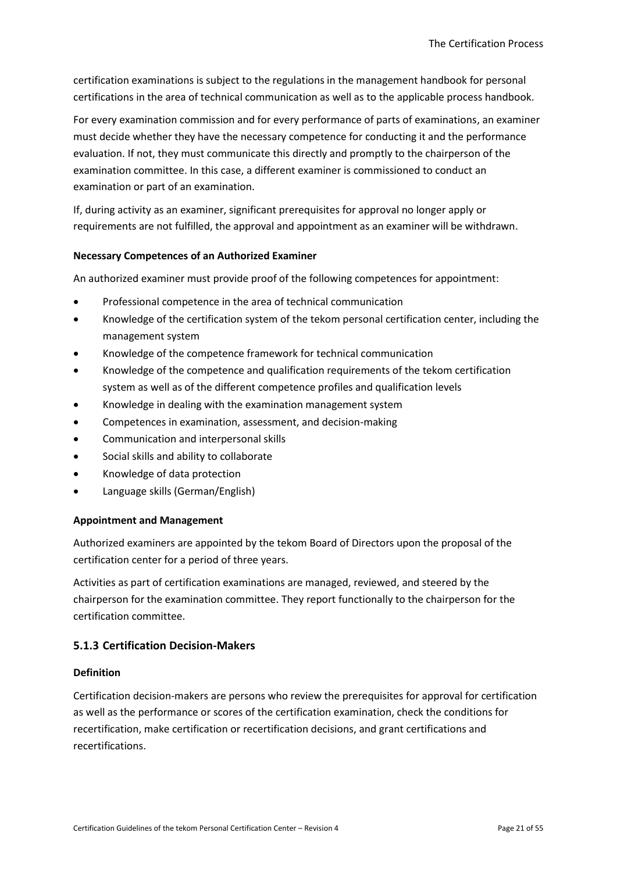certification examinations is subject to the regulations in the management handbook for personal certifications in the area of technical communication as well as to the applicable process handbook.

For every examination commission and for every performance of parts of examinations, an examiner must decide whether they have the necessary competence for conducting it and the performance evaluation. If not, they must communicate this directly and promptly to the chairperson of the examination committee. In this case, a different examiner is commissioned to conduct an examination or part of an examination.

If, during activity as an examiner, significant prerequisites for approval no longer apply or requirements are not fulfilled, the approval and appointment as an examiner will be withdrawn.

#### **Necessary Competences of an Authorized Examiner**

An authorized examiner must provide proof of the following competences for appointment:

- Professional competence in the area of technical communication
- Knowledge of the certification system of the tekom personal certification center, including the management system
- Knowledge of the competence framework for technical communication
- Knowledge of the competence and qualification requirements of the tekom certification system as well as of the different competence profiles and qualification levels
- Knowledge in dealing with the examination management system
- Competences in examination, assessment, and decision-making
- Communication and interpersonal skills
- Social skills and ability to collaborate
- Knowledge of data protection
- Language skills (German/English)

#### **Appointment and Management**

Authorized examiners are appointed by the tekom Board of Directors upon the proposal of the certification center for a period of three years.

Activities as part of certification examinations are managed, reviewed, and steered by the chairperson for the examination committee. They report functionally to the chairperson for the certification committee.

#### <span id="page-20-0"></span>**5.1.3 Certification Decision-Makers**

#### **Definition**

Certification decision-makers are persons who review the prerequisites for approval for certification as well as the performance or scores of the certification examination, check the conditions for recertification, make certification or recertification decisions, and grant certifications and recertifications.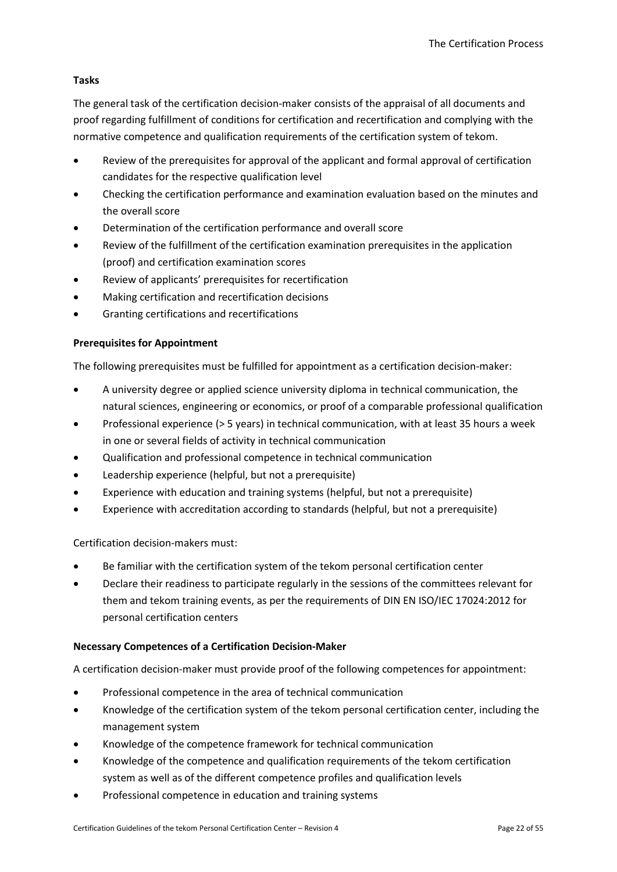## **Tasks**

The general task of the certification decision-maker consists of the appraisal of all documents and proof regarding fulfillment of conditions for certification and recertification and complying with the normative competence and qualification requirements of the certification system of tekom.

- Review of the prerequisites for approval of the applicant and formal approval of certification candidates for the respective qualification level
- Checking the certification performance and examination evaluation based on the minutes and the overall score
- Determination of the certification performance and overall score
- Review of the fulfillment of the certification examination prerequisites in the application (proof) and certification examination scores
- Review of applicants' prerequisites for recertification
- Making certification and recertification decisions
- Granting certifications and recertifications

## **Prerequisites for Appointment**

The following prerequisites must be fulfilled for appointment as a certification decision-maker:

- A university degree or applied science university diploma in technical communication, the natural sciences, engineering or economics, or proof of a comparable professional qualification
- Professional experience (> 5 years) in technical communication, with at least 35 hours a week in one or several fields of activity in technical communication
- Qualification and professional competence in technical communication
- Leadership experience (helpful, but not a prerequisite)
- Experience with education and training systems (helpful, but not a prerequisite)
- Experience with accreditation according to standards (helpful, but not a prerequisite)

Certification decision-makers must:

- Be familiar with the certification system of the tekom personal certification center
- Declare their readiness to participate regularly in the sessions of the committees relevant for them and tekom training events, as per the requirements of DIN EN ISO/IEC 17024:2012 for personal certification centers

## **Necessary Competences of a Certification Decision-Maker**

A certification decision-maker must provide proof of the following competences for appointment:

- Professional competence in the area of technical communication
- Knowledge of the certification system of the tekom personal certification center, including the management system
- Knowledge of the competence framework for technical communication
- Knowledge of the competence and qualification requirements of the tekom certification system as well as of the different competence profiles and qualification levels
- Professional competence in education and training systems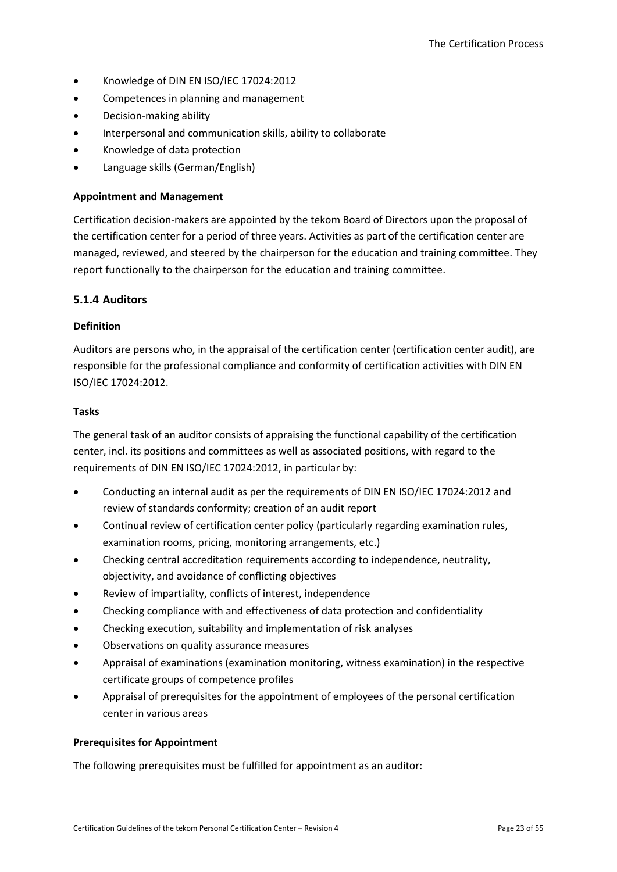- Knowledge of DIN EN ISO/IEC 17024:2012
- Competences in planning and management
- Decision-making ability
- Interpersonal and communication skills, ability to collaborate
- Knowledge of data protection
- Language skills (German/English)

#### **Appointment and Management**

Certification decision-makers are appointed by the tekom Board of Directors upon the proposal of the certification center for a period of three years. Activities as part of the certification center are managed, reviewed, and steered by the chairperson for the education and training committee. They report functionally to the chairperson for the education and training committee.

#### <span id="page-22-0"></span>**5.1.4 Auditors**

#### **Definition**

Auditors are persons who, in the appraisal of the certification center (certification center audit), are responsible for the professional compliance and conformity of certification activities with DIN EN ISO/IEC 17024:2012.

#### **Tasks**

The general task of an auditor consists of appraising the functional capability of the certification center, incl. its positions and committees as well as associated positions, with regard to the requirements of DIN EN ISO/IEC 17024:2012, in particular by:

- Conducting an internal audit as per the requirements of DIN EN ISO/IEC 17024:2012 and review of standards conformity; creation of an audit report
- Continual review of certification center policy (particularly regarding examination rules, examination rooms, pricing, monitoring arrangements, etc.)
- Checking central accreditation requirements according to independence, neutrality, objectivity, and avoidance of conflicting objectives
- Review of impartiality, conflicts of interest, independence
- Checking compliance with and effectiveness of data protection and confidentiality
- Checking execution, suitability and implementation of risk analyses
- Observations on quality assurance measures
- Appraisal of examinations (examination monitoring, witness examination) in the respective certificate groups of competence profiles
- Appraisal of prerequisites for the appointment of employees of the personal certification center in various areas

#### **Prerequisites for Appointment**

The following prerequisites must be fulfilled for appointment as an auditor: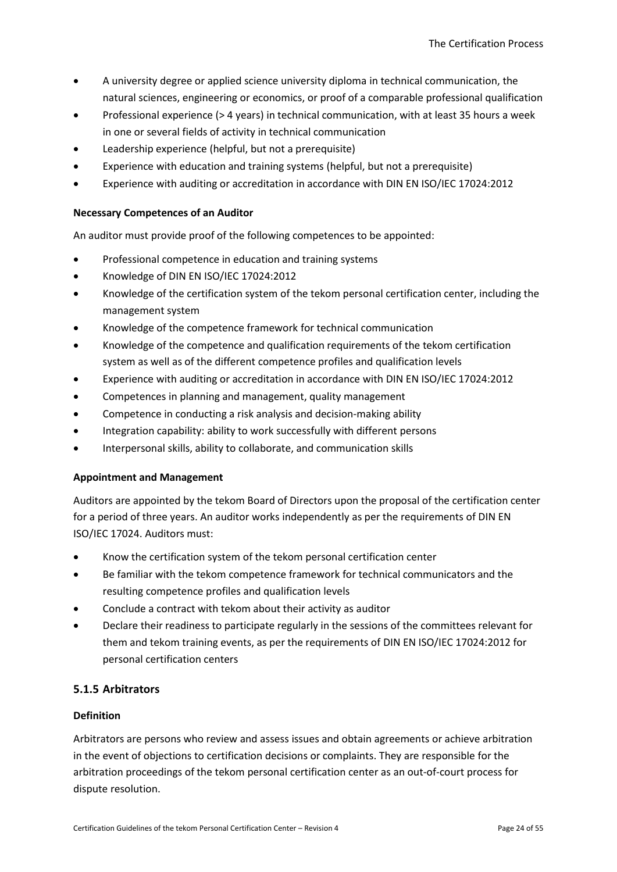- A university degree or applied science university diploma in technical communication, the natural sciences, engineering or economics, or proof of a comparable professional qualification
- Professional experience (> 4 years) in technical communication, with at least 35 hours a week in one or several fields of activity in technical communication
- Leadership experience (helpful, but not a prerequisite)
- Experience with education and training systems (helpful, but not a prerequisite)
- Experience with auditing or accreditation in accordance with DIN EN ISO/IEC 17024:2012

#### **Necessary Competences of an Auditor**

An auditor must provide proof of the following competences to be appointed:

- Professional competence in education and training systems
- Knowledge of DIN EN ISO/IEC 17024:2012
- Knowledge of the certification system of the tekom personal certification center, including the management system
- Knowledge of the competence framework for technical communication
- Knowledge of the competence and qualification requirements of the tekom certification system as well as of the different competence profiles and qualification levels
- Experience with auditing or accreditation in accordance with DIN EN ISO/IEC 17024:2012
- Competences in planning and management, quality management
- Competence in conducting a risk analysis and decision-making ability
- Integration capability: ability to work successfully with different persons
- Interpersonal skills, ability to collaborate, and communication skills

## **Appointment and Management**

Auditors are appointed by the tekom Board of Directors upon the proposal of the certification center for a period of three years. An auditor works independently as per the requirements of DIN EN ISO/IEC 17024. Auditors must:

- Know the certification system of the tekom personal certification center
- Be familiar with the tekom competence framework for technical communicators and the resulting competence profiles and qualification levels
- Conclude a contract with tekom about their activity as auditor
- Declare their readiness to participate regularly in the sessions of the committees relevant for them and tekom training events, as per the requirements of DIN EN ISO/IEC 17024:2012 for personal certification centers

## <span id="page-23-0"></span>**5.1.5 Arbitrators**

#### **Definition**

Arbitrators are persons who review and assess issues and obtain agreements or achieve arbitration in the event of objections to certification decisions or complaints. They are responsible for the arbitration proceedings of the tekom personal certification center as an out-of-court process for dispute resolution.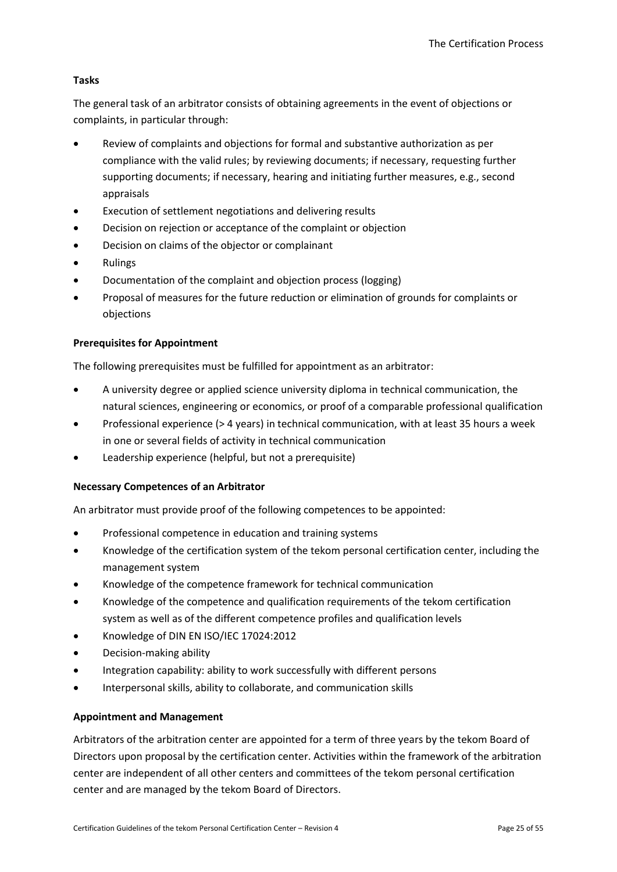## **Tasks**

The general task of an arbitrator consists of obtaining agreements in the event of objections or complaints, in particular through:

- Review of complaints and objections for formal and substantive authorization as per compliance with the valid rules; by reviewing documents; if necessary, requesting further supporting documents; if necessary, hearing and initiating further measures, e.g., second appraisals
- Execution of settlement negotiations and delivering results
- Decision on rejection or acceptance of the complaint or objection
- Decision on claims of the objector or complainant
- Rulings
- Documentation of the complaint and objection process (logging)
- Proposal of measures for the future reduction or elimination of grounds for complaints or objections

#### **Prerequisites for Appointment**

The following prerequisites must be fulfilled for appointment as an arbitrator:

- A university degree or applied science university diploma in technical communication, the natural sciences, engineering or economics, or proof of a comparable professional qualification
- Professional experience (> 4 years) in technical communication, with at least 35 hours a week in one or several fields of activity in technical communication
- Leadership experience (helpful, but not a prerequisite)

#### **Necessary Competences of an Arbitrator**

An arbitrator must provide proof of the following competences to be appointed:

- Professional competence in education and training systems
- Knowledge of the certification system of the tekom personal certification center, including the management system
- Knowledge of the competence framework for technical communication
- Knowledge of the competence and qualification requirements of the tekom certification system as well as of the different competence profiles and qualification levels
- Knowledge of DIN EN ISO/IEC 17024:2012
- Decision-making ability
- Integration capability: ability to work successfully with different persons
- Interpersonal skills, ability to collaborate, and communication skills

#### **Appointment and Management**

Arbitrators of the arbitration center are appointed for a term of three years by the tekom Board of Directors upon proposal by the certification center. Activities within the framework of the arbitration center are independent of all other centers and committees of the tekom personal certification center and are managed by the tekom Board of Directors.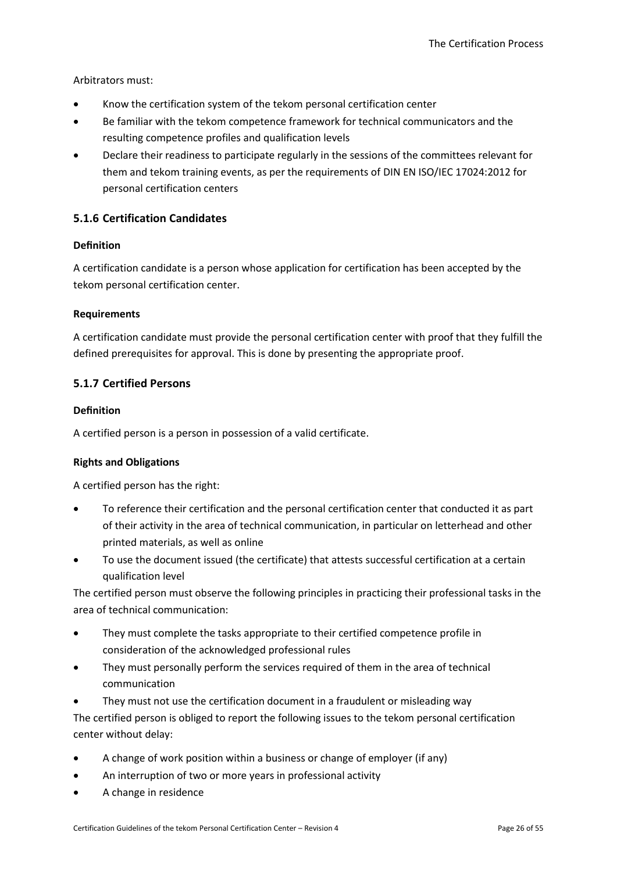Arbitrators must:

- Know the certification system of the tekom personal certification center
- Be familiar with the tekom competence framework for technical communicators and the resulting competence profiles and qualification levels
- Declare their readiness to participate regularly in the sessions of the committees relevant for them and tekom training events, as per the requirements of DIN EN ISO/IEC 17024:2012 for personal certification centers

## <span id="page-25-0"></span>**5.1.6 Certification Candidates**

#### **Definition**

A certification candidate is a person whose application for certification has been accepted by the tekom personal certification center.

#### **Requirements**

A certification candidate must provide the personal certification center with proof that they fulfill the defined prerequisites for approval. This is done by presenting the appropriate proof.

## <span id="page-25-1"></span>**5.1.7 Certified Persons**

#### **Definition**

A certified person is a person in possession of a valid certificate.

#### **Rights and Obligations**

A certified person has the right:

- To reference their certification and the personal certification center that conducted it as part of their activity in the area of technical communication, in particular on letterhead and other printed materials, as well as online
- To use the document issued (the certificate) that attests successful certification at a certain qualification level

The certified person must observe the following principles in practicing their professional tasks in the area of technical communication:

- They must complete the tasks appropriate to their certified competence profile in consideration of the acknowledged professional rules
- They must personally perform the services required of them in the area of technical communication
- They must not use the certification document in a fraudulent or misleading way

The certified person is obliged to report the following issues to the tekom personal certification center without delay:

- A change of work position within a business or change of employer (if any)
- An interruption of two or more years in professional activity
- A change in residence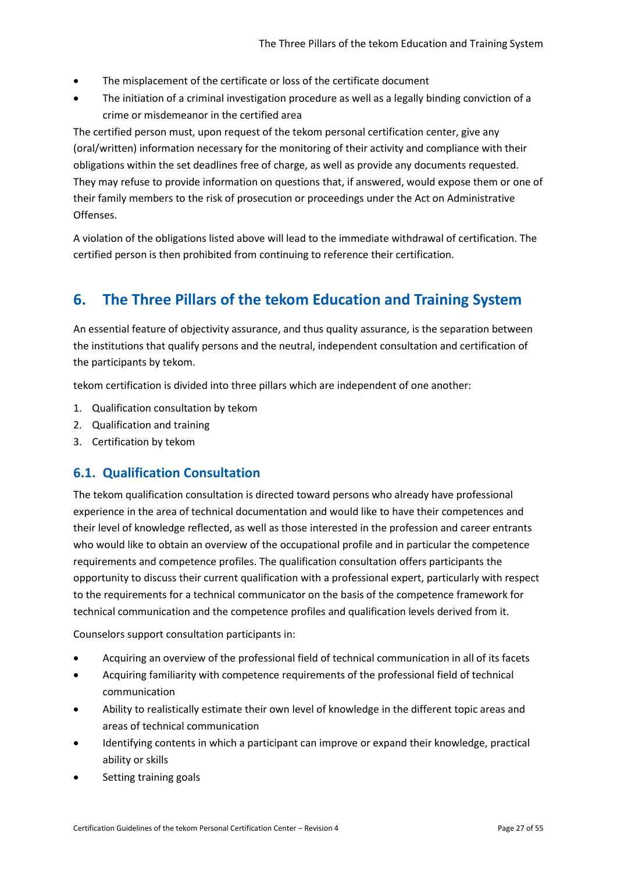- The misplacement of the certificate or loss of the certificate document
- The initiation of a criminal investigation procedure as well as a legally binding conviction of a crime or misdemeanor in the certified area

The certified person must, upon request of the tekom personal certification center, give any (oral/written) information necessary for the monitoring of their activity and compliance with their obligations within the set deadlines free of charge, as well as provide any documents requested. They may refuse to provide information on questions that, if answered, would expose them or one of their family members to the risk of prosecution or proceedings under the Act on Administrative Offenses.

A violation of the obligations listed above will lead to the immediate withdrawal of certification. The certified person is then prohibited from continuing to reference their certification.

# <span id="page-26-0"></span>**6. The Three Pillars of the tekom Education and Training System**

An essential feature of objectivity assurance, and thus quality assurance, is the separation between the institutions that qualify persons and the neutral, independent consultation and certification of the participants by tekom.

tekom certification is divided into three pillars which are independent of one another:

- 1. Qualification consultation by tekom
- 2. Qualification and training
- 3. Certification by tekom

## <span id="page-26-1"></span>**6.1. Qualification Consultation**

The tekom qualification consultation is directed toward persons who already have professional experience in the area of technical documentation and would like to have their competences and their level of knowledge reflected, as well as those interested in the profession and career entrants who would like to obtain an overview of the occupational profile and in particular the competence requirements and competence profiles. The qualification consultation offers participants the opportunity to discuss their current qualification with a professional expert, particularly with respect to the requirements for a technical communicator on the basis of the competence framework for technical communication and the competence profiles and qualification levels derived from it.

Counselors support consultation participants in:

- Acquiring an overview of the professional field of technical communication in all of its facets
- Acquiring familiarity with competence requirements of the professional field of technical communication
- Ability to realistically estimate their own level of knowledge in the different topic areas and areas of technical communication
- Identifying contents in which a participant can improve or expand their knowledge, practical ability or skills
- Setting training goals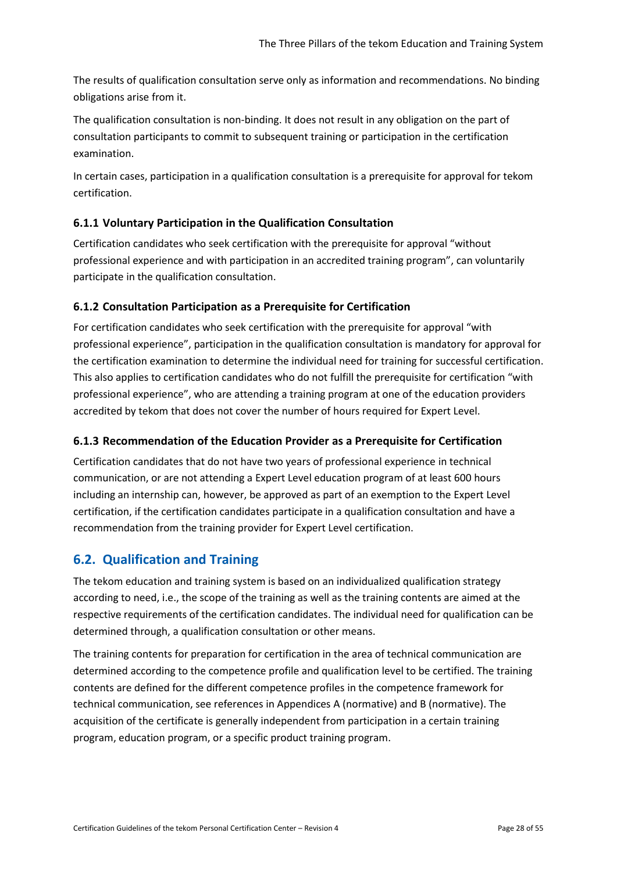The results of qualification consultation serve only as information and recommendations. No binding obligations arise from it.

The qualification consultation is non-binding. It does not result in any obligation on the part of consultation participants to commit to subsequent training or participation in the certification examination.

In certain cases, participation in a qualification consultation is a prerequisite for approval for tekom certification.

## <span id="page-27-0"></span>**6.1.1 Voluntary Participation in the Qualification Consultation**

Certification candidates who seek certification with the prerequisite for approval "without professional experience and with participation in an accredited training program", can voluntarily participate in the qualification consultation.

## <span id="page-27-1"></span>**6.1.2 Consultation Participation as a Prerequisite for Certification**

For certification candidates who seek certification with the prerequisite for approval "with professional experience", participation in the qualification consultation is mandatory for approval for the certification examination to determine the individual need for training for successful certification. This also applies to certification candidates who do not fulfill the prerequisite for certification "with professional experience", who are attending a training program at one of the education providers accredited by tekom that does not cover the number of hours required for Expert Level.

## <span id="page-27-2"></span>**6.1.3 Recommendation of the Education Provider as a Prerequisite for Certification**

Certification candidates that do not have two years of professional experience in technical communication, or are not attending a Expert Level education program of at least 600 hours including an internship can, however, be approved as part of an exemption to the Expert Level certification, if the certification candidates participate in a qualification consultation and have a recommendation from the training provider for Expert Level certification.

## <span id="page-27-3"></span>**6.2. Qualification and Training**

The tekom education and training system is based on an individualized qualification strategy according to need, i.e., the scope of the training as well as the training contents are aimed at the respective requirements of the certification candidates. The individual need for qualification can be determined through, a qualification consultation or other means.

The training contents for preparation for certification in the area of technical communication are determined according to the competence profile and qualification level to be certified. The training contents are defined for the different competence profiles in the competence framework for technical communication, see references in Appendices A (normative) and B (normative). The acquisition of the certificate is generally independent from participation in a certain training program, education program, or a specific product training program.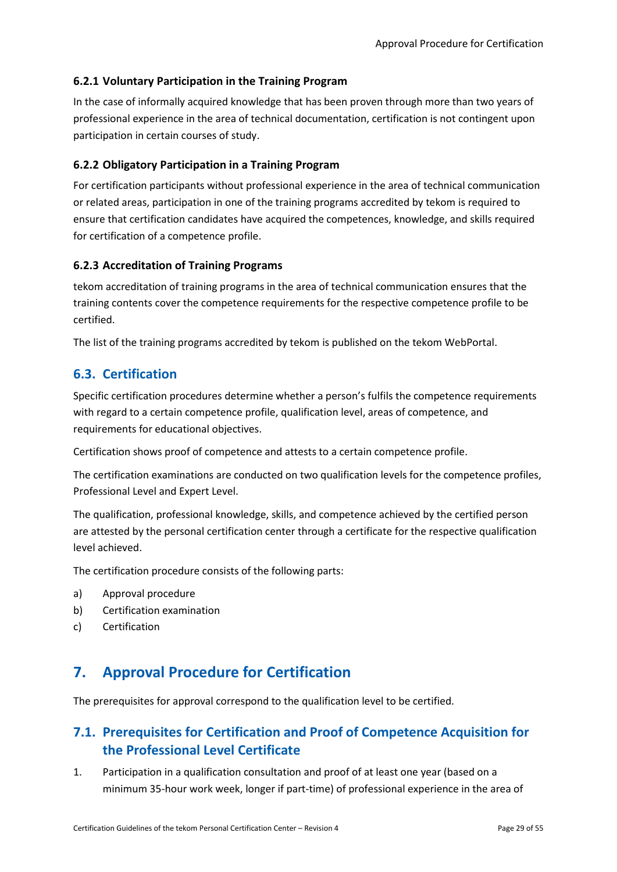## <span id="page-28-0"></span>**6.2.1 Voluntary Participation in the Training Program**

In the case of informally acquired knowledge that has been proven through more than two years of professional experience in the area of technical documentation, certification is not contingent upon participation in certain courses of study.

## <span id="page-28-1"></span>**6.2.2 Obligatory Participation in a Training Program**

For certification participants without professional experience in the area of technical communication or related areas, participation in one of the training programs accredited by tekom is required to ensure that certification candidates have acquired the competences, knowledge, and skills required for certification of a competence profile.

## <span id="page-28-2"></span>**6.2.3 Accreditation of Training Programs**

tekom accreditation of training programs in the area of technical communication ensures that the training contents cover the competence requirements for the respective competence profile to be certified.

The list of the training programs accredited by tekom is published on the tekom WebPortal.

## <span id="page-28-3"></span>**6.3. Certification**

Specific certification procedures determine whether a person's fulfils the competence requirements with regard to a certain competence profile, qualification level, areas of competence, and requirements for educational objectives.

Certification shows proof of competence and attests to a certain competence profile.

The certification examinations are conducted on two qualification levels for the competence profiles, Professional Level and Expert Level.

The qualification, professional knowledge, skills, and competence achieved by the certified person are attested by the personal certification center through a certificate for the respective qualification level achieved.

The certification procedure consists of the following parts:

- a) Approval procedure
- b) Certification examination
- <span id="page-28-4"></span>c) Certification

# **7. Approval Procedure for Certification**

The prerequisites for approval correspond to the qualification level to be certified.

# <span id="page-28-5"></span>**7.1. Prerequisites for Certification and Proof of Competence Acquisition for the Professional Level Certificate**

1. Participation in a qualification consultation and proof of at least one year (based on a minimum 35-hour work week, longer if part-time) of professional experience in the area of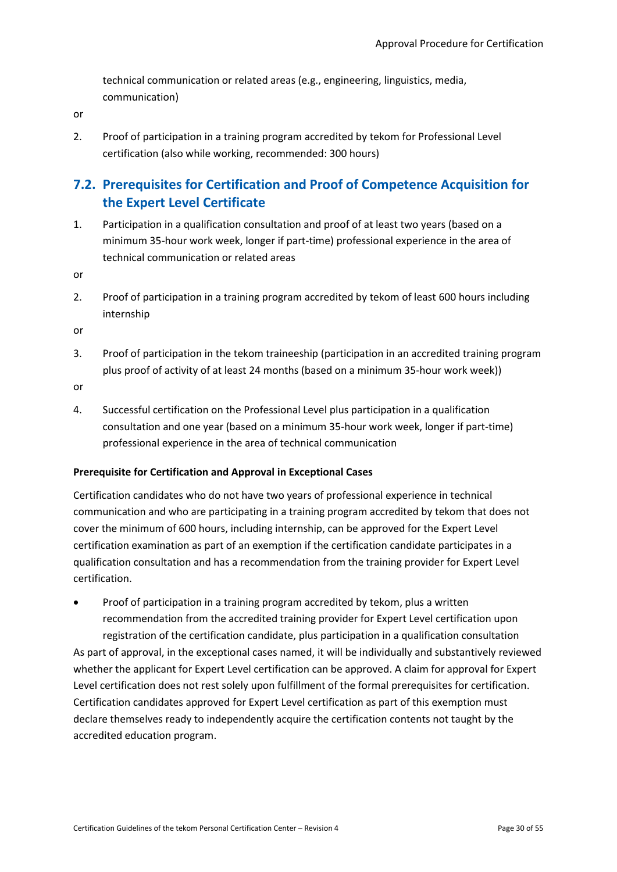technical communication or related areas (e.g., engineering, linguistics, media, communication)

or

2. Proof of participation in a training program accredited by tekom for Professional Level certification (also while working, recommended: 300 hours)

# <span id="page-29-0"></span>**7.2. Prerequisites for Certification and Proof of Competence Acquisition for the Expert Level Certificate**

1. Participation in a qualification consultation and proof of at least two years (based on a minimum 35-hour work week, longer if part-time) professional experience in the area of technical communication or related areas

or

2. Proof of participation in a training program accredited by tekom of least 600 hours including internship

or

3. Proof of participation in the tekom traineeship (participation in an accredited training program plus proof of activity of at least 24 months (based on a minimum 35-hour work week))

or

4. Successful certification on the Professional Level plus participation in a qualification consultation and one year (based on a minimum 35-hour work week, longer if part-time) professional experience in the area of technical communication

## **Prerequisite for Certification and Approval in Exceptional Cases**

Certification candidates who do not have two years of professional experience in technical communication and who are participating in a training program accredited by tekom that does not cover the minimum of 600 hours, including internship, can be approved for the Expert Level certification examination as part of an exemption if the certification candidate participates in a qualification consultation and has a recommendation from the training provider for Expert Level certification.

• Proof of participation in a training program accredited by tekom, plus a written recommendation from the accredited training provider for Expert Level certification upon registration of the certification candidate, plus participation in a qualification consultation As part of approval, in the exceptional cases named, it will be individually and substantively reviewed whether the applicant for Expert Level certification can be approved. A claim for approval for Expert Level certification does not rest solely upon fulfillment of the formal prerequisites for certification. Certification candidates approved for Expert Level certification as part of this exemption must declare themselves ready to independently acquire the certification contents not taught by the accredited education program.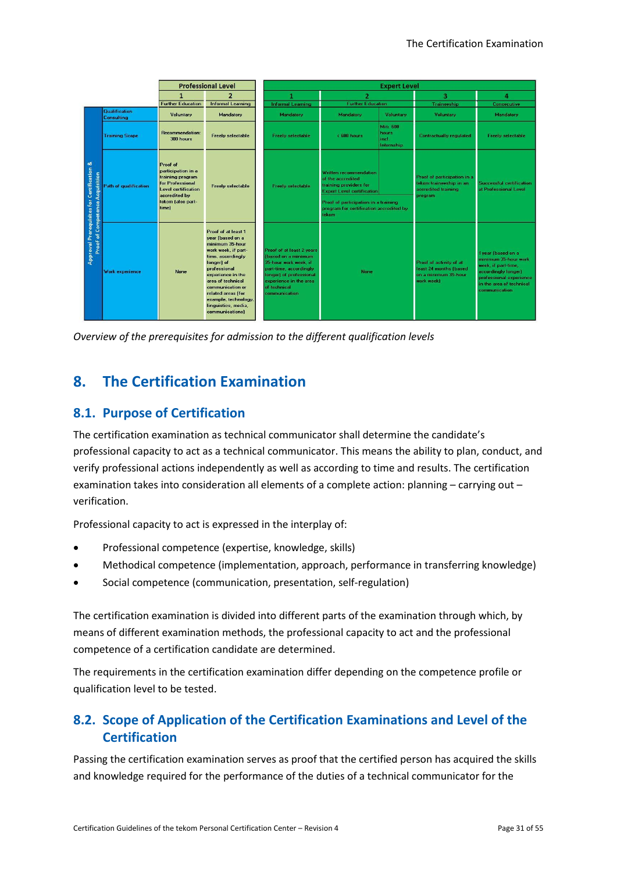|                                                                                         |                             |                                                                                                                                                     | <b>Professional Level</b>                                                                                                                                                                                                                                                                  | <b>Expert Level</b>                                                                                                                                                                       |                                                                                                                                                                                                        |                                                |                                                                                          |                                                                                                                                                                         |  |
|-----------------------------------------------------------------------------------------|-----------------------------|-----------------------------------------------------------------------------------------------------------------------------------------------------|--------------------------------------------------------------------------------------------------------------------------------------------------------------------------------------------------------------------------------------------------------------------------------------------|-------------------------------------------------------------------------------------------------------------------------------------------------------------------------------------------|--------------------------------------------------------------------------------------------------------------------------------------------------------------------------------------------------------|------------------------------------------------|------------------------------------------------------------------------------------------|-------------------------------------------------------------------------------------------------------------------------------------------------------------------------|--|
|                                                                                         |                             | 2<br>1                                                                                                                                              |                                                                                                                                                                                                                                                                                            | 1                                                                                                                                                                                         | 2                                                                                                                                                                                                      |                                                | з                                                                                        | 4                                                                                                                                                                       |  |
|                                                                                         |                             | <b>Further Education</b>                                                                                                                            | <b>Informal Learning</b>                                                                                                                                                                                                                                                                   | <b>Informal Learning</b>                                                                                                                                                                  | <b>Further Education</b>                                                                                                                                                                               |                                                | Traineeship                                                                              | <b>Consecutive</b>                                                                                                                                                      |  |
|                                                                                         | Qualification<br>Consulting | Voluntary                                                                                                                                           | Mandatory                                                                                                                                                                                                                                                                                  | Mandatory                                                                                                                                                                                 | Mandatory<br>Voluntary                                                                                                                                                                                 |                                                | Voluntary                                                                                | Mandatory                                                                                                                                                               |  |
| ಹ<br><b>Approval Prerequisites for Certification</b><br>Proof of Competence Acquisition | <b>Training Scope</b>       | Recommendation:<br>300 hours                                                                                                                        | <b>Freely selectable</b>                                                                                                                                                                                                                                                                   | <b>Freely selectable</b>                                                                                                                                                                  | < 600 hours                                                                                                                                                                                            | <b>Min 600</b><br>hours<br>inel.<br>Internship | <b>Contractually regulated</b>                                                           | <b>Freely selectable</b>                                                                                                                                                |  |
|                                                                                         | Path of qualification       | Proof of<br>participation in a<br>training program<br><b>for Professional</b><br>Level certification<br>accredited by<br>tekom (also part-<br>time) | <b>Freely selectable</b>                                                                                                                                                                                                                                                                   | <b>Freely selectable</b>                                                                                                                                                                  | Written recommendation<br>of the accredited<br>training providers for<br><b>Expert Level certification</b><br>Proof of participation in a training<br>program for certification accredited by<br>tekom |                                                | Proof of participation in a<br>tekom traineeship in an<br>accredited training<br>program | <b>Successful certification</b><br>at Professional Level                                                                                                                |  |
|                                                                                         | Work experience             | None                                                                                                                                                | Proof of at least 1<br>vear (based on a<br>minimum 35-hour<br>work week. if part-<br>time, accordingly<br>longer) of<br>professional<br>experience in the<br>area of technical<br>communication or<br>related areas (for<br>example, technology,<br>linguistics, media,<br>communications] | Proof of at least 2 years<br>(based on a minimum<br>35-hour work week, if<br>part-time, accordingly<br>longer) of professional<br>experience in the area<br>of technical<br>communication | None                                                                                                                                                                                                   |                                                | Proof of activity of at<br>least 24 months (based<br>on a minimum 35-hour<br>work week)  | 1 year (based on a<br>minimum 35-hour work<br>week, if part-time,<br>accordingly longer)<br>professional experience<br>in the area of technical<br><b>communication</b> |  |

*Overview of the prerequisites for admission to the different qualification levels*

# <span id="page-30-0"></span>**8. The Certification Examination**

## <span id="page-30-1"></span>**8.1. Purpose of Certification**

The certification examination as technical communicator shall determine the candidate's professional capacity to act as a technical communicator. This means the ability to plan, conduct, and verify professional actions independently as well as according to time and results. The certification examination takes into consideration all elements of a complete action: planning – carrying out – verification.

Professional capacity to act is expressed in the interplay of:

- Professional competence (expertise, knowledge, skills)
- Methodical competence (implementation, approach, performance in transferring knowledge)
- Social competence (communication, presentation, self-regulation)

The certification examination is divided into different parts of the examination through which, by means of different examination methods, the professional capacity to act and the professional competence of a certification candidate are determined.

The requirements in the certification examination differ depending on the competence profile or qualification level to be tested.

# <span id="page-30-2"></span>**8.2. Scope of Application of the Certification Examinations and Level of the Certification**

Passing the certification examination serves as proof that the certified person has acquired the skills and knowledge required for the performance of the duties of a technical communicator for the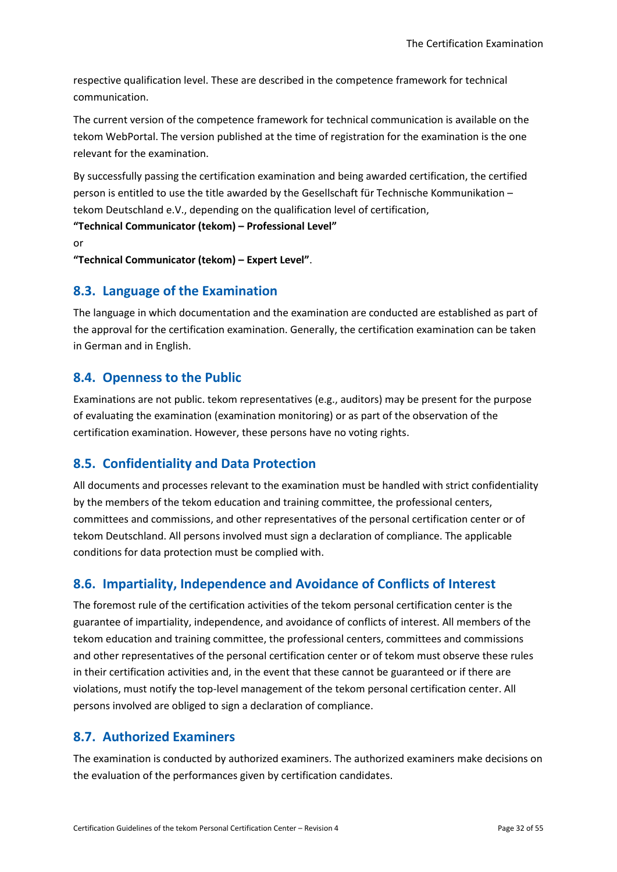respective qualification level. These are described in the competence framework for technical communication.

The current version of the competence framework for technical communication is available on the tekom WebPortal. The version published at the time of registration for the examination is the one relevant for the examination.

By successfully passing the certification examination and being awarded certification, the certified person is entitled to use the title awarded by the Gesellschaft für Technische Kommunikation – tekom Deutschland e.V., depending on the qualification level of certification,

```
"Technical Communicator (tekom) – Professional Level"
```
or

**"Technical Communicator (tekom) – Expert Level"**.

## <span id="page-31-0"></span>**8.3. Language of the Examination**

The language in which documentation and the examination are conducted are established as part of the approval for the certification examination. Generally, the certification examination can be taken in German and in English.

## <span id="page-31-1"></span>**8.4. Openness to the Public**

Examinations are not public. tekom representatives (e.g., auditors) may be present for the purpose of evaluating the examination (examination monitoring) or as part of the observation of the certification examination. However, these persons have no voting rights.

## <span id="page-31-2"></span>**8.5. Confidentiality and Data Protection**

All documents and processes relevant to the examination must be handled with strict confidentiality by the members of the tekom education and training committee, the professional centers, committees and commissions, and other representatives of the personal certification center or of tekom Deutschland. All persons involved must sign a declaration of compliance. The applicable conditions for data protection must be complied with.

## <span id="page-31-3"></span>**8.6. Impartiality, Independence and Avoidance of Conflicts of Interest**

The foremost rule of the certification activities of the tekom personal certification center is the guarantee of impartiality, independence, and avoidance of conflicts of interest. All members of the tekom education and training committee, the professional centers, committees and commissions and other representatives of the personal certification center or of tekom must observe these rules in their certification activities and, in the event that these cannot be guaranteed or if there are violations, must notify the top-level management of the tekom personal certification center. All persons involved are obliged to sign a declaration of compliance.

## <span id="page-31-4"></span>**8.7. Authorized Examiners**

The examination is conducted by authorized examiners. The authorized examiners make decisions on the evaluation of the performances given by certification candidates.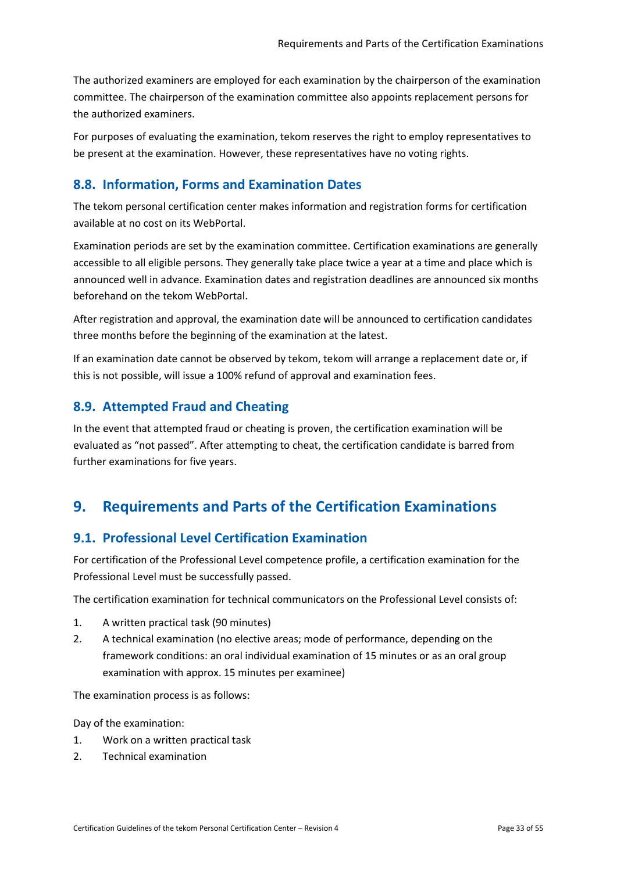The authorized examiners are employed for each examination by the chairperson of the examination committee. The chairperson of the examination committee also appoints replacement persons for the authorized examiners.

For purposes of evaluating the examination, tekom reserves the right to employ representatives to be present at the examination. However, these representatives have no voting rights.

## <span id="page-32-0"></span>**8.8. Information, Forms and Examination Dates**

The tekom personal certification center makes information and registration forms for certification available at no cost on its WebPortal.

Examination periods are set by the examination committee. Certification examinations are generally accessible to all eligible persons. They generally take place twice a year at a time and place which is announced well in advance. Examination dates and registration deadlines are announced six months beforehand on the tekom WebPortal.

After registration and approval, the examination date will be announced to certification candidates three months before the beginning of the examination at the latest.

If an examination date cannot be observed by tekom, tekom will arrange a replacement date or, if this is not possible, will issue a 100% refund of approval and examination fees.

## <span id="page-32-1"></span>**8.9. Attempted Fraud and Cheating**

In the event that attempted fraud or cheating is proven, the certification examination will be evaluated as "not passed". After attempting to cheat, the certification candidate is barred from further examinations for five years.

# <span id="page-32-2"></span>**9. Requirements and Parts of the Certification Examinations**

## <span id="page-32-3"></span>**9.1. Professional Level Certification Examination**

For certification of the Professional Level competence profile, a certification examination for the Professional Level must be successfully passed.

The certification examination for technical communicators on the Professional Level consists of:

- 1. A written practical task (90 minutes)
- 2. A technical examination (no elective areas; mode of performance, depending on the framework conditions: an oral individual examination of 15 minutes or as an oral group examination with approx. 15 minutes per examinee)

The examination process is as follows:

Day of the examination:

- 1. Work on a written practical task
- 2. Technical examination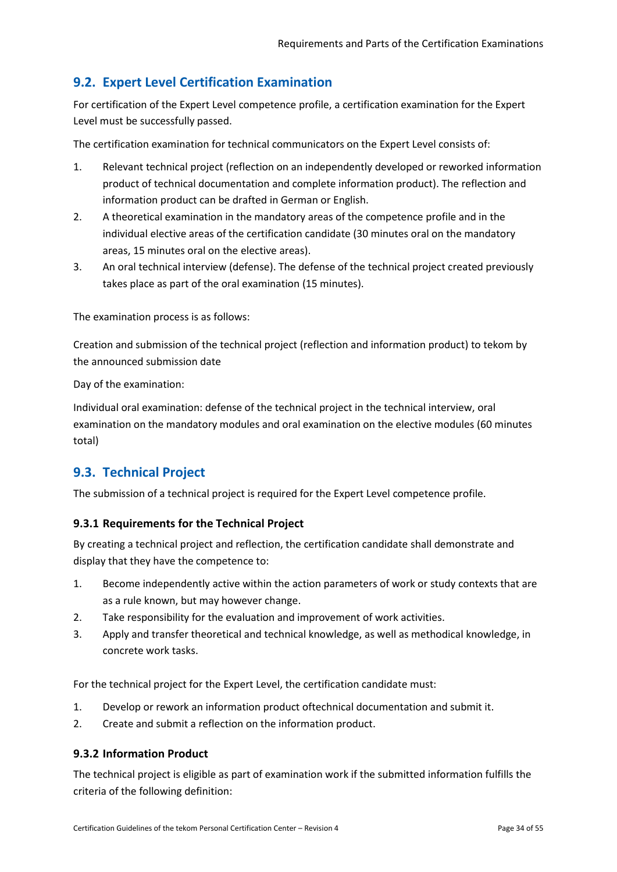# <span id="page-33-0"></span>**9.2. Expert Level Certification Examination**

For certification of the Expert Level competence profile, a certification examination for the Expert Level must be successfully passed.

The certification examination for technical communicators on the Expert Level consists of:

- 1. Relevant technical project (reflection on an independently developed or reworked information product of technical documentation and complete information product). The reflection and information product can be drafted in German or English.
- 2. A theoretical examination in the mandatory areas of the competence profile and in the individual elective areas of the certification candidate (30 minutes oral on the mandatory areas, 15 minutes oral on the elective areas).
- 3. An oral technical interview (defense). The defense of the technical project created previously takes place as part of the oral examination (15 minutes).

The examination process is as follows:

Creation and submission of the technical project (reflection and information product) to tekom by the announced submission date

Day of the examination:

Individual oral examination: defense of the technical project in the technical interview, oral examination on the mandatory modules and oral examination on the elective modules (60 minutes total)

## <span id="page-33-1"></span>**9.3. Technical Project**

The submission of a technical project is required for the Expert Level competence profile.

#### <span id="page-33-2"></span>**9.3.1 Requirements for the Technical Project**

By creating a technical project and reflection, the certification candidate shall demonstrate and display that they have the competence to:

- 1. Become independently active within the action parameters of work or study contexts that are as a rule known, but may however change.
- 2. Take responsibility for the evaluation and improvement of work activities.
- 3. Apply and transfer theoretical and technical knowledge, as well as methodical knowledge, in concrete work tasks.

For the technical project for the Expert Level, the certification candidate must:

- 1. Develop or rework an information product oftechnical documentation and submit it.
- 2. Create and submit a reflection on the information product.

#### <span id="page-33-3"></span>**9.3.2 Information Product**

The technical project is eligible as part of examination work if the submitted information fulfills the criteria of the following definition: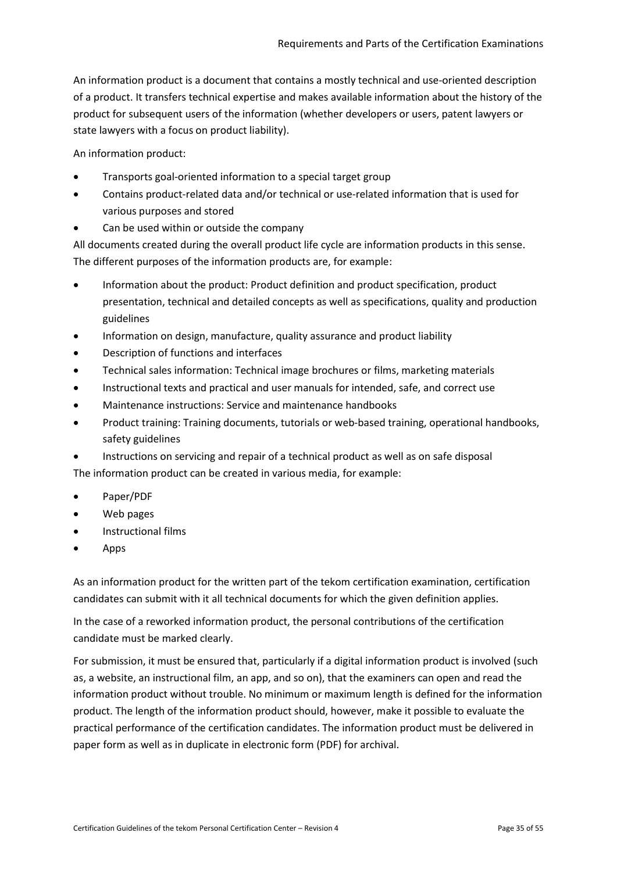An information product is a document that contains a mostly technical and use-oriented description of a product. It transfers technical expertise and makes available information about the history of the product for subsequent users of the information (whether developers or users, patent lawyers or state lawyers with a focus on product liability).

An information product:

- Transports goal-oriented information to a special target group
- Contains product-related data and/or technical or use-related information that is used for various purposes and stored
- Can be used within or outside the company

All documents created during the overall product life cycle are information products in this sense. The different purposes of the information products are, for example:

- Information about the product: Product definition and product specification, product presentation, technical and detailed concepts as well as specifications, quality and production guidelines
- Information on design, manufacture, quality assurance and product liability
- Description of functions and interfaces
- Technical sales information: Technical image brochures or films, marketing materials
- Instructional texts and practical and user manuals for intended, safe, and correct use
- Maintenance instructions: Service and maintenance handbooks
- Product training: Training documents, tutorials or web-based training, operational handbooks, safety guidelines

• Instructions on servicing and repair of a technical product as well as on safe disposal The information product can be created in various media, for example:

- Paper/PDF
- Web pages
- Instructional films
- Apps

As an information product for the written part of the tekom certification examination, certification candidates can submit with it all technical documents for which the given definition applies.

In the case of a reworked information product, the personal contributions of the certification candidate must be marked clearly.

For submission, it must be ensured that, particularly if a digital information product is involved (such as, a website, an instructional film, an app, and so on), that the examiners can open and read the information product without trouble. No minimum or maximum length is defined for the information product. The length of the information product should, however, make it possible to evaluate the practical performance of the certification candidates. The information product must be delivered in paper form as well as in duplicate in electronic form (PDF) for archival.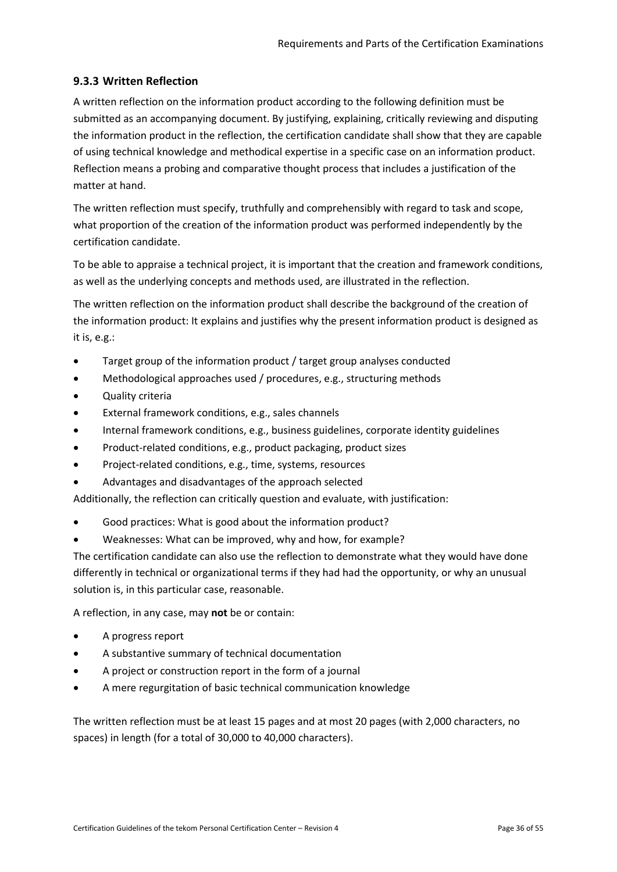### <span id="page-35-0"></span>**9.3.3 Written Reflection**

A written reflection on the information product according to the following definition must be submitted as an accompanying document. By justifying, explaining, critically reviewing and disputing the information product in the reflection, the certification candidate shall show that they are capable of using technical knowledge and methodical expertise in a specific case on an information product. Reflection means a probing and comparative thought process that includes a justification of the matter at hand.

The written reflection must specify, truthfully and comprehensibly with regard to task and scope, what proportion of the creation of the information product was performed independently by the certification candidate.

To be able to appraise a technical project, it is important that the creation and framework conditions, as well as the underlying concepts and methods used, are illustrated in the reflection.

The written reflection on the information product shall describe the background of the creation of the information product: It explains and justifies why the present information product is designed as it is, e.g.:

- Target group of the information product / target group analyses conducted
- Methodological approaches used / procedures, e.g., structuring methods
- Quality criteria
- External framework conditions, e.g., sales channels
- Internal framework conditions, e.g., business guidelines, corporate identity guidelines
- Product-related conditions, e.g., product packaging, product sizes
- Project-related conditions, e.g., time, systems, resources
- Advantages and disadvantages of the approach selected

Additionally, the reflection can critically question and evaluate, with justification:

- Good practices: What is good about the information product?
- Weaknesses: What can be improved, why and how, for example?

The certification candidate can also use the reflection to demonstrate what they would have done differently in technical or organizational terms if they had had the opportunity, or why an unusual solution is, in this particular case, reasonable.

A reflection, in any case, may **not** be or contain:

- A progress report
- A substantive summary of technical documentation
- A project or construction report in the form of a journal
- A mere regurgitation of basic technical communication knowledge

The written reflection must be at least 15 pages and at most 20 pages (with 2,000 characters, no spaces) in length (for a total of 30,000 to 40,000 characters).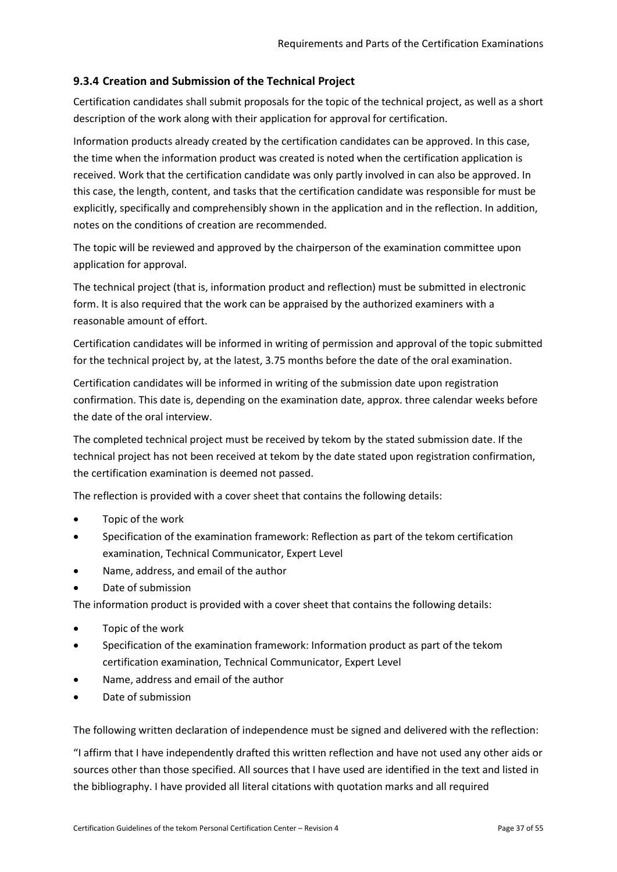## <span id="page-36-0"></span>**9.3.4 Creation and Submission of the Technical Project**

Certification candidates shall submit proposals for the topic of the technical project, as well as a short description of the work along with their application for approval for certification.

Information products already created by the certification candidates can be approved. In this case, the time when the information product was created is noted when the certification application is received. Work that the certification candidate was only partly involved in can also be approved. In this case, the length, content, and tasks that the certification candidate was responsible for must be explicitly, specifically and comprehensibly shown in the application and in the reflection. In addition, notes on the conditions of creation are recommended.

The topic will be reviewed and approved by the chairperson of the examination committee upon application for approval.

The technical project (that is, information product and reflection) must be submitted in electronic form. It is also required that the work can be appraised by the authorized examiners with a reasonable amount of effort.

Certification candidates will be informed in writing of permission and approval of the topic submitted for the technical project by, at the latest, 3.75 months before the date of the oral examination.

Certification candidates will be informed in writing of the submission date upon registration confirmation. This date is, depending on the examination date, approx. three calendar weeks before the date of the oral interview.

The completed technical project must be received by tekom by the stated submission date. If the technical project has not been received at tekom by the date stated upon registration confirmation, the certification examination is deemed not passed.

The reflection is provided with a cover sheet that contains the following details:

- Topic of the work
- Specification of the examination framework: Reflection as part of the tekom certification examination, Technical Communicator, Expert Level
- Name, address, and email of the author
- Date of submission

The information product is provided with a cover sheet that contains the following details:

- Topic of the work
- Specification of the examination framework: Information product as part of the tekom certification examination, Technical Communicator, Expert Level
- Name, address and email of the author
- Date of submission

The following written declaration of independence must be signed and delivered with the reflection:

"I affirm that I have independently drafted this written reflection and have not used any other aids or sources other than those specified. All sources that I have used are identified in the text and listed in the bibliography. I have provided all literal citations with quotation marks and all required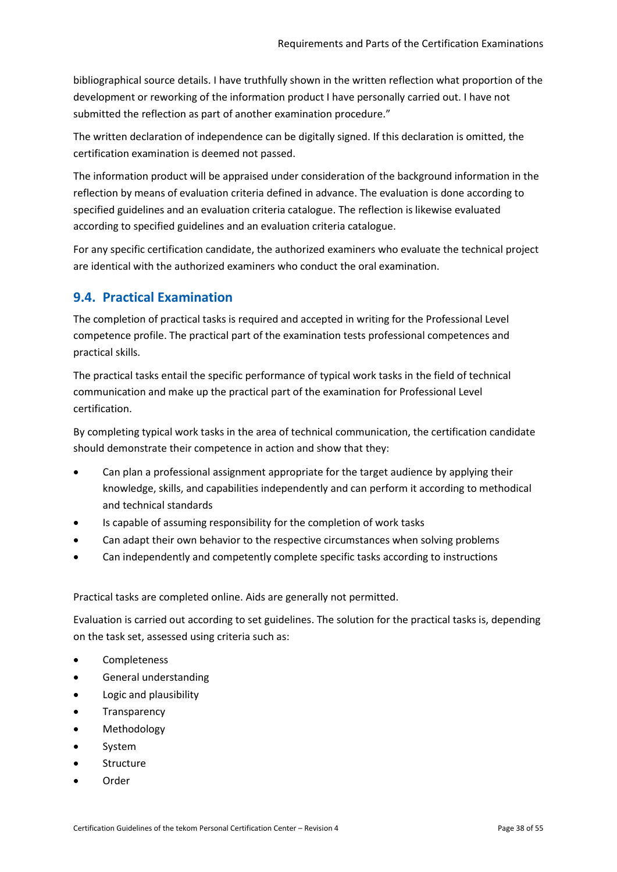bibliographical source details. I have truthfully shown in the written reflection what proportion of the development or reworking of the information product I have personally carried out. I have not submitted the reflection as part of another examination procedure."

The written declaration of independence can be digitally signed. If this declaration is omitted, the certification examination is deemed not passed.

The information product will be appraised under consideration of the background information in the reflection by means of evaluation criteria defined in advance. The evaluation is done according to specified guidelines and an evaluation criteria catalogue. The reflection is likewise evaluated according to specified guidelines and an evaluation criteria catalogue.

For any specific certification candidate, the authorized examiners who evaluate the technical project are identical with the authorized examiners who conduct the oral examination.

## <span id="page-37-0"></span>**9.4. Practical Examination**

The completion of practical tasks is required and accepted in writing for the Professional Level competence profile. The practical part of the examination tests professional competences and practical skills.

The practical tasks entail the specific performance of typical work tasks in the field of technical communication and make up the practical part of the examination for Professional Level certification.

By completing typical work tasks in the area of technical communication, the certification candidate should demonstrate their competence in action and show that they:

- Can plan a professional assignment appropriate for the target audience by applying their knowledge, skills, and capabilities independently and can perform it according to methodical and technical standards
- Is capable of assuming responsibility for the completion of work tasks
- Can adapt their own behavior to the respective circumstances when solving problems
- Can independently and competently complete specific tasks according to instructions

Practical tasks are completed online. Aids are generally not permitted.

Evaluation is carried out according to set guidelines. The solution for the practical tasks is, depending on the task set, assessed using criteria such as:

- Completeness
- General understanding
- Logic and plausibility
- **Transparency**
- **Methodology**
- **System**
- Structure
- Order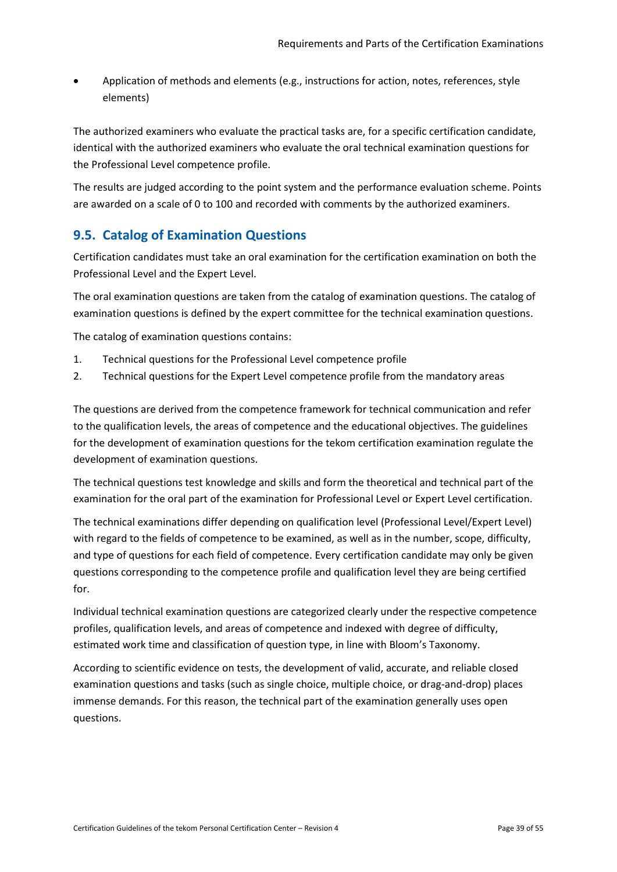Application of methods and elements (e.g., instructions for action, notes, references, style elements)

The authorized examiners who evaluate the practical tasks are, for a specific certification candidate, identical with the authorized examiners who evaluate the oral technical examination questions for the Professional Level competence profile.

The results are judged according to the point system and the performance evaluation scheme. Points are awarded on a scale of 0 to 100 and recorded with comments by the authorized examiners.

## <span id="page-38-0"></span>**9.5. Catalog of Examination Questions**

Certification candidates must take an oral examination for the certification examination on both the Professional Level and the Expert Level.

The oral examination questions are taken from the catalog of examination questions. The catalog of examination questions is defined by the expert committee for the technical examination questions.

The catalog of examination questions contains:

- 1. Technical questions for the Professional Level competence profile
- 2. Technical questions for the Expert Level competence profile from the mandatory areas

The questions are derived from the competence framework for technical communication and refer to the qualification levels, the areas of competence and the educational objectives. The guidelines for the development of examination questions for the tekom certification examination regulate the development of examination questions.

The technical questions test knowledge and skills and form the theoretical and technical part of the examination for the oral part of the examination for Professional Level or Expert Level certification.

The technical examinations differ depending on qualification level (Professional Level/Expert Level) with regard to the fields of competence to be examined, as well as in the number, scope, difficulty, and type of questions for each field of competence. Every certification candidate may only be given questions corresponding to the competence profile and qualification level they are being certified for.

Individual technical examination questions are categorized clearly under the respective competence profiles, qualification levels, and areas of competence and indexed with degree of difficulty, estimated work time and classification of question type, in line with Bloom's Taxonomy.

According to scientific evidence on tests, the development of valid, accurate, and reliable closed examination questions and tasks (such as single choice, multiple choice, or drag-and-drop) places immense demands. For this reason, the technical part of the examination generally uses open questions.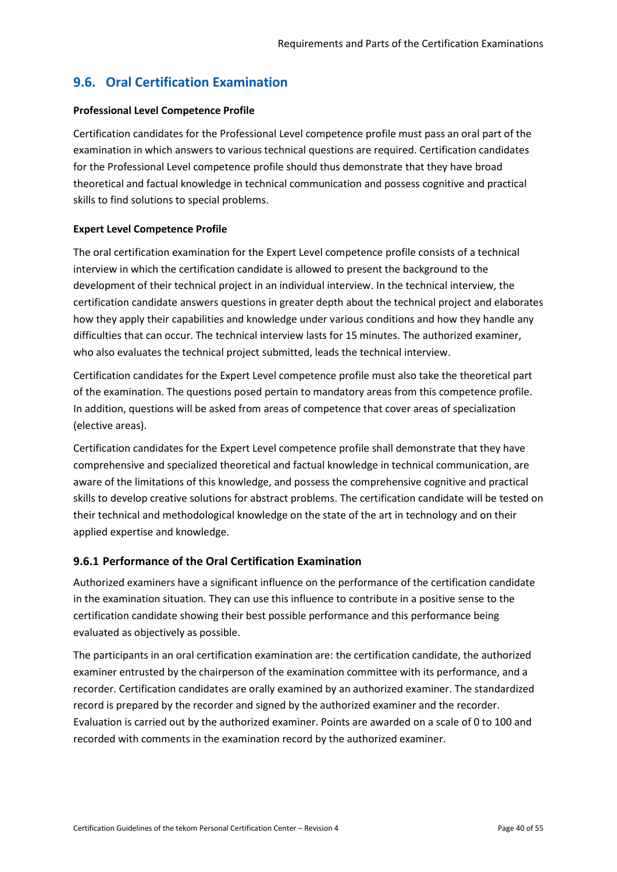# <span id="page-39-0"></span>**9.6. Oral Certification Examination**

#### **Professional Level Competence Profile**

Certification candidates for the Professional Level competence profile must pass an oral part of the examination in which answers to various technical questions are required. Certification candidates for the Professional Level competence profile should thus demonstrate that they have broad theoretical and factual knowledge in technical communication and possess cognitive and practical skills to find solutions to special problems.

#### **Expert Level Competence Profile**

The oral certification examination for the Expert Level competence profile consists of a technical interview in which the certification candidate is allowed to present the background to the development of their technical project in an individual interview. In the technical interview, the certification candidate answers questions in greater depth about the technical project and elaborates how they apply their capabilities and knowledge under various conditions and how they handle any difficulties that can occur. The technical interview lasts for 15 minutes. The authorized examiner, who also evaluates the technical project submitted, leads the technical interview.

Certification candidates for the Expert Level competence profile must also take the theoretical part of the examination. The questions posed pertain to mandatory areas from this competence profile. In addition, questions will be asked from areas of competence that cover areas of specialization (elective areas).

Certification candidates for the Expert Level competence profile shall demonstrate that they have comprehensive and specialized theoretical and factual knowledge in technical communication, are aware of the limitations of this knowledge, and possess the comprehensive cognitive and practical skills to develop creative solutions for abstract problems. The certification candidate will be tested on their technical and methodological knowledge on the state of the art in technology and on their applied expertise and knowledge.

## <span id="page-39-1"></span>**9.6.1 Performance of the Oral Certification Examination**

Authorized examiners have a significant influence on the performance of the certification candidate in the examination situation. They can use this influence to contribute in a positive sense to the certification candidate showing their best possible performance and this performance being evaluated as objectively as possible.

The participants in an oral certification examination are: the certification candidate, the authorized examiner entrusted by the chairperson of the examination committee with its performance, and a recorder. Certification candidates are orally examined by an authorized examiner. The standardized record is prepared by the recorder and signed by the authorized examiner and the recorder. Evaluation is carried out by the authorized examiner. Points are awarded on a scale of 0 to 100 and recorded with comments in the examination record by the authorized examiner.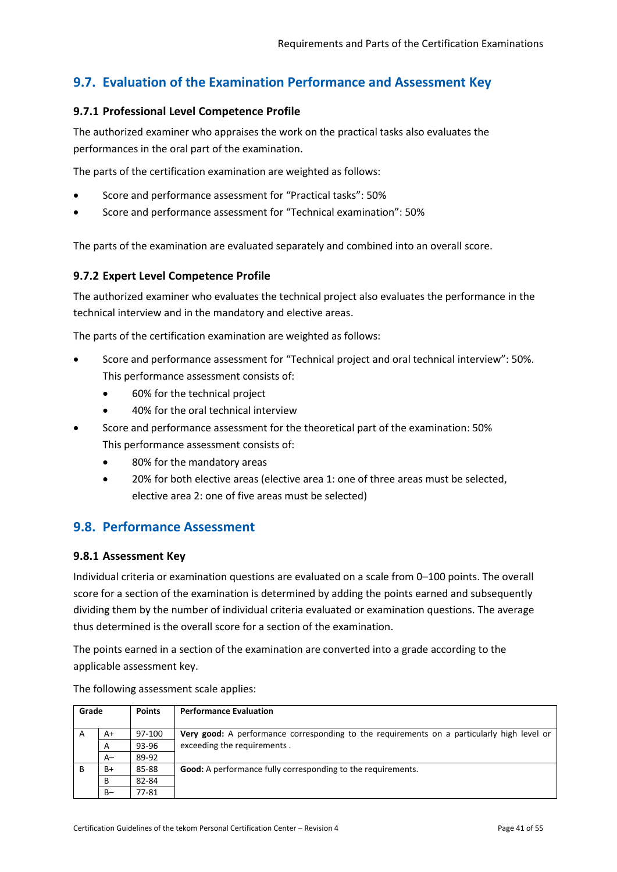# <span id="page-40-0"></span>**9.7. Evaluation of the Examination Performance and Assessment Key**

#### <span id="page-40-1"></span>**9.7.1 Professional Level Competence Profile**

The authorized examiner who appraises the work on the practical tasks also evaluates the performances in the oral part of the examination.

The parts of the certification examination are weighted as follows:

- Score and performance assessment for "Practical tasks": 50%
- Score and performance assessment for "Technical examination": 50%

The parts of the examination are evaluated separately and combined into an overall score.

#### <span id="page-40-2"></span>**9.7.2 Expert Level Competence Profile**

The authorized examiner who evaluates the technical project also evaluates the performance in the technical interview and in the mandatory and elective areas.

The parts of the certification examination are weighted as follows:

- Score and performance assessment for "Technical project and oral technical interview": 50%. This performance assessment consists of:
	- 60% for the technical project
	- 40% for the oral technical interview
- Score and performance assessment for the theoretical part of the examination: 50% This performance assessment consists of:
	- 80% for the mandatory areas
	- 20% for both elective areas (elective area 1: one of three areas must be selected, elective area 2: one of five areas must be selected)

## <span id="page-40-3"></span>**9.8. Performance Assessment**

#### <span id="page-40-4"></span>**9.8.1 Assessment Key**

Individual criteria or examination questions are evaluated on a scale from 0–100 points. The overall score for a section of the examination is determined by adding the points earned and subsequently dividing them by the number of individual criteria evaluated or examination questions. The average thus determined is the overall score for a section of the examination.

The points earned in a section of the examination are converted into a grade according to the applicable assessment key.

| Grade |       | <b>Points</b> | <b>Performance Evaluation</b>                                                                     |
|-------|-------|---------------|---------------------------------------------------------------------------------------------------|
| A     | A+    | 97-100        | <b>Very good:</b> A performance corresponding to the requirements on a particularly high level or |
|       | A     | 93-96         | exceeding the requirements.                                                                       |
|       | $A-$  | 89-92         |                                                                                                   |
| B     | B+    | 85-88         | <b>Good:</b> A performance fully corresponding to the requirements.                               |
|       | B     | 82-84         |                                                                                                   |
|       | $B -$ | 77-81         |                                                                                                   |

The following assessment scale applies: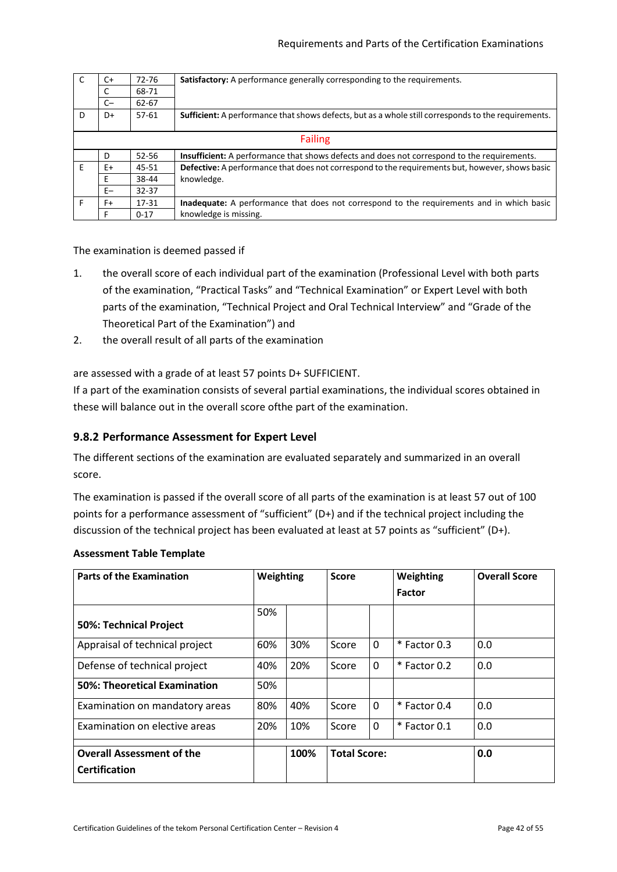|    | $C+$ | 72-76     | Satisfactory: A performance generally corresponding to the requirements.                            |
|----|------|-----------|-----------------------------------------------------------------------------------------------------|
|    | C    | 68-71     |                                                                                                     |
|    | $C-$ | 62-67     |                                                                                                     |
| D  | D+   | $57-61$   | Sufficient: A performance that shows defects, but as a whole still corresponds to the requirements. |
|    |      |           | <b>Failing</b>                                                                                      |
|    | D    | 52-56     | <b>Insufficient:</b> A performance that shows defects and does not correspond to the requirements.  |
| F. | E+   | 45-51     | Defective: A performance that does not correspond to the requirements but, however, shows basic     |
|    | Е    | 38-44     | knowledge.                                                                                          |
|    | $E-$ | $32 - 37$ |                                                                                                     |
| E  | F+   | 17-31     | Inadequate: A performance that does not correspond to the requirements and in which basic           |
|    | F    | $0 - 17$  | knowledge is missing.                                                                               |

The examination is deemed passed if

- 1. the overall score of each individual part of the examination (Professional Level with both parts of the examination, "Practical Tasks" and "Technical Examination" or Expert Level with both parts of the examination, "Technical Project and Oral Technical Interview" and "Grade of the Theoretical Part of the Examination") and
- 2. the overall result of all parts of the examination

are assessed with a grade of at least 57 points D+ SUFFICIENT.

If a part of the examination consists of several partial examinations, the individual scores obtained in these will balance out in the overall score ofthe part of the examination.

#### <span id="page-41-0"></span>**9.8.2 Performance Assessment for Expert Level**

The different sections of the examination are evaluated separately and summarized in an overall score.

The examination is passed if the overall score of all parts of the examination is at least 57 out of 100 points for a performance assessment of "sufficient" (D+) and if the technical project including the discussion of the technical project has been evaluated at least at 57 points as "sufficient" (D+).

#### **Assessment Table Template**

| <b>Parts of the Examination</b>                          | Weighting |      | <b>Score</b>        |   | Weighting      | <b>Overall Score</b> |
|----------------------------------------------------------|-----------|------|---------------------|---|----------------|----------------------|
|                                                          |           |      |                     |   | <b>Factor</b>  |                      |
| 50%: Technical Project                                   | 50%       |      |                     |   |                |                      |
| Appraisal of technical project                           | 60%       | 30%  | Score               | 0 | * Factor 0.3   | 0.0                  |
| Defense of technical project                             | 40%       | 20%  | Score               | 0 | $*$ Factor 0.2 | 0.0                  |
| 50%: Theoretical Examination                             | 50%       |      |                     |   |                |                      |
| Examination on mandatory areas                           | 80%       | 40%  | Score               | 0 | $*$ Factor 0.4 | 0.0                  |
| Examination on elective areas                            | 20%       | 10%  | Score               | 0 | * Factor 0.1   | 0.0                  |
| <b>Overall Assessment of the</b><br><b>Certification</b> |           | 100% | <b>Total Score:</b> |   |                | 0.0                  |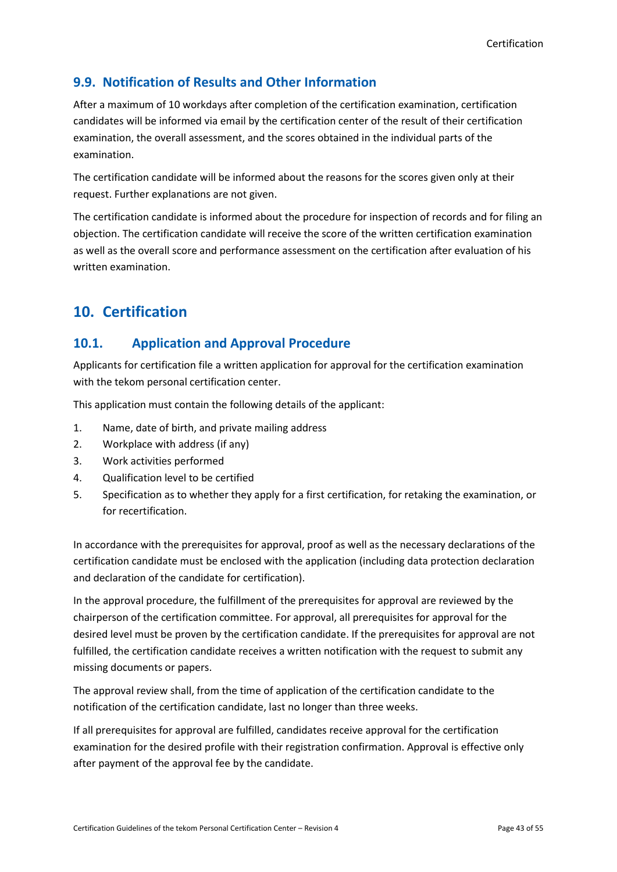# <span id="page-42-0"></span>**9.9. Notification of Results and Other Information**

After a maximum of 10 workdays after completion of the certification examination, certification candidates will be informed via email by the certification center of the result of their certification examination, the overall assessment, and the scores obtained in the individual parts of the examination.

The certification candidate will be informed about the reasons for the scores given only at their request. Further explanations are not given.

The certification candidate is informed about the procedure for inspection of records and for filing an objection. The certification candidate will receive the score of the written certification examination as well as the overall score and performance assessment on the certification after evaluation of his written examination.

# <span id="page-42-1"></span>**10. Certification**

## <span id="page-42-2"></span>**10.1. Application and Approval Procedure**

Applicants for certification file a written application for approval for the certification examination with the tekom personal certification center.

This application must contain the following details of the applicant:

- 1. Name, date of birth, and private mailing address
- 2. Workplace with address (if any)
- 3. Work activities performed
- 4. Qualification level to be certified
- 5. Specification as to whether they apply for a first certification, for retaking the examination, or for recertification.

In accordance with the prerequisites for approval, proof as well as the necessary declarations of the certification candidate must be enclosed with the application (including data protection declaration and declaration of the candidate for certification).

In the approval procedure, the fulfillment of the prerequisites for approval are reviewed by the chairperson of the certification committee. For approval, all prerequisites for approval for the desired level must be proven by the certification candidate. If the prerequisites for approval are not fulfilled, the certification candidate receives a written notification with the request to submit any missing documents or papers.

The approval review shall, from the time of application of the certification candidate to the notification of the certification candidate, last no longer than three weeks.

If all prerequisites for approval are fulfilled, candidates receive approval for the certification examination for the desired profile with their registration confirmation. Approval is effective only after payment of the approval fee by the candidate.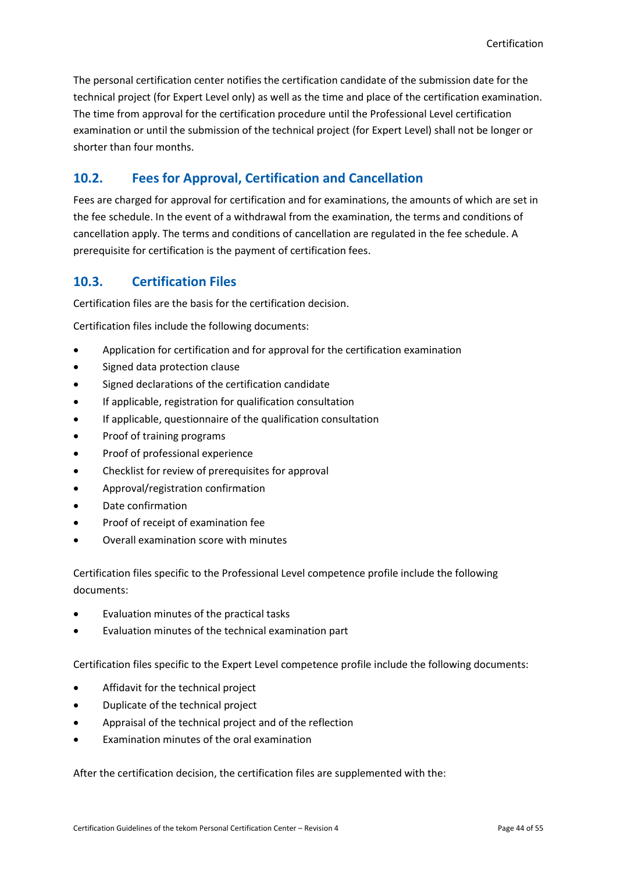The personal certification center notifies the certification candidate of the submission date for the technical project (for Expert Level only) as well as the time and place of the certification examination. The time from approval for the certification procedure until the Professional Level certification examination or until the submission of the technical project (for Expert Level) shall not be longer or shorter than four months.

## <span id="page-43-0"></span>**10.2. Fees for Approval, Certification and Cancellation**

Fees are charged for approval for certification and for examinations, the amounts of which are set in the fee schedule. In the event of a withdrawal from the examination, the terms and conditions of cancellation apply. The terms and conditions of cancellation are regulated in the fee schedule. A prerequisite for certification is the payment of certification fees.

## <span id="page-43-1"></span>**10.3. Certification Files**

Certification files are the basis for the certification decision.

Certification files include the following documents:

- Application for certification and for approval for the certification examination
- Signed data protection clause
- Signed declarations of the certification candidate
- If applicable, registration for qualification consultation
- If applicable, questionnaire of the qualification consultation
- Proof of training programs
- Proof of professional experience
- Checklist for review of prerequisites for approval
- Approval/registration confirmation
- Date confirmation
- Proof of receipt of examination fee
- Overall examination score with minutes

Certification files specific to the Professional Level competence profile include the following documents:

- Evaluation minutes of the practical tasks
- Evaluation minutes of the technical examination part

Certification files specific to the Expert Level competence profile include the following documents:

- Affidavit for the technical project
- Duplicate of the technical project
- Appraisal of the technical project and of the reflection
- Examination minutes of the oral examination

After the certification decision, the certification files are supplemented with the: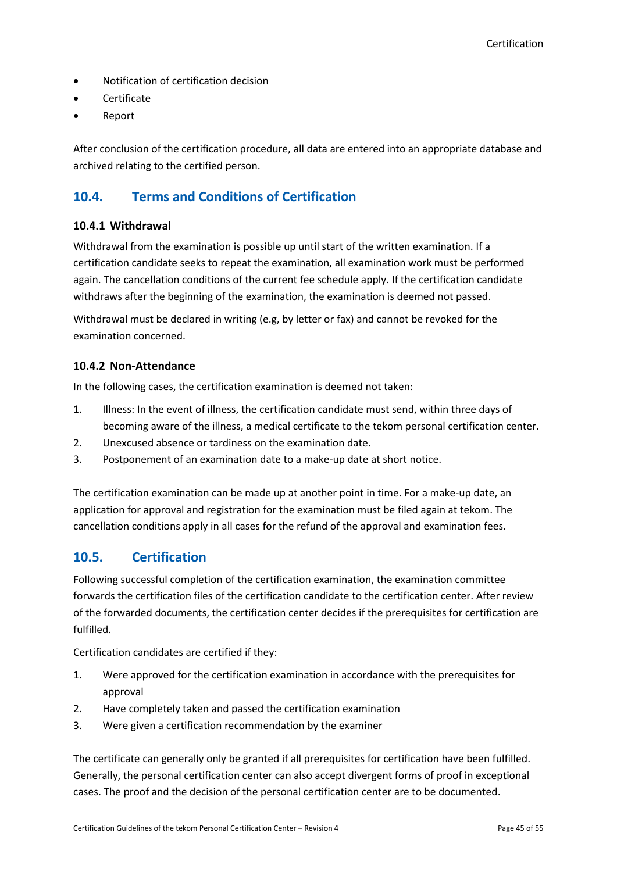- Notification of certification decision
- **Certificate**
- Report

After conclusion of the certification procedure, all data are entered into an appropriate database and archived relating to the certified person.

## <span id="page-44-0"></span>**10.4. Terms and Conditions of Certification**

#### <span id="page-44-1"></span>**10.4.1 Withdrawal**

Withdrawal from the examination is possible up until start of the written examination. If a certification candidate seeks to repeat the examination, all examination work must be performed again. The cancellation conditions of the current fee schedule apply. If the certification candidate withdraws after the beginning of the examination, the examination is deemed not passed.

Withdrawal must be declared in writing (e.g, by letter or fax) and cannot be revoked for the examination concerned.

#### <span id="page-44-2"></span>**10.4.2 Non-Attendance**

In the following cases, the certification examination is deemed not taken:

- 1. Illness: In the event of illness, the certification candidate must send, within three days of becoming aware of the illness, a medical certificate to the tekom personal certification center.
- 2. Unexcused absence or tardiness on the examination date.
- 3. Postponement of an examination date to a make-up date at short notice.

The certification examination can be made up at another point in time. For a make-up date, an application for approval and registration for the examination must be filed again at tekom. The cancellation conditions apply in all cases for the refund of the approval and examination fees.

## <span id="page-44-3"></span>**10.5. Certification**

Following successful completion of the certification examination, the examination committee forwards the certification files of the certification candidate to the certification center. After review of the forwarded documents, the certification center decides if the prerequisites for certification are fulfilled.

Certification candidates are certified if they:

- 1. Were approved for the certification examination in accordance with the prerequisites for approval
- 2. Have completely taken and passed the certification examination
- 3. Were given a certification recommendation by the examiner

The certificate can generally only be granted if all prerequisites for certification have been fulfilled. Generally, the personal certification center can also accept divergent forms of proof in exceptional cases. The proof and the decision of the personal certification center are to be documented.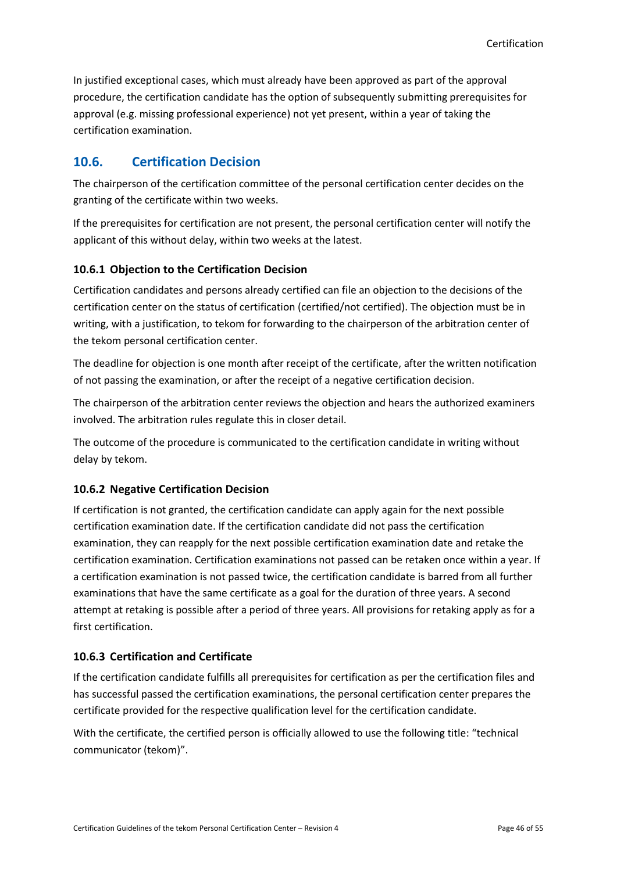In justified exceptional cases, which must already have been approved as part of the approval procedure, the certification candidate has the option of subsequently submitting prerequisites for approval (e.g. missing professional experience) not yet present, within a year of taking the certification examination.

# <span id="page-45-0"></span>**10.6. Certification Decision**

The chairperson of the certification committee of the personal certification center decides on the granting of the certificate within two weeks.

If the prerequisites for certification are not present, the personal certification center will notify the applicant of this without delay, within two weeks at the latest.

## <span id="page-45-1"></span>**10.6.1 Objection to the Certification Decision**

Certification candidates and persons already certified can file an objection to the decisions of the certification center on the status of certification (certified/not certified). The objection must be in writing, with a justification, to tekom for forwarding to the chairperson of the arbitration center of the tekom personal certification center.

The deadline for objection is one month after receipt of the certificate, after the written notification of not passing the examination, or after the receipt of a negative certification decision.

The chairperson of the arbitration center reviews the objection and hears the authorized examiners involved. The arbitration rules regulate this in closer detail.

The outcome of the procedure is communicated to the certification candidate in writing without delay by tekom.

#### <span id="page-45-2"></span>**10.6.2 Negative Certification Decision**

If certification is not granted, the certification candidate can apply again for the next possible certification examination date. If the certification candidate did not pass the certification examination, they can reapply for the next possible certification examination date and retake the certification examination. Certification examinations not passed can be retaken once within a year. If a certification examination is not passed twice, the certification candidate is barred from all further examinations that have the same certificate as a goal for the duration of three years. A second attempt at retaking is possible after a period of three years. All provisions for retaking apply as for a first certification.

#### <span id="page-45-3"></span>**10.6.3 Certification and Certificate**

If the certification candidate fulfills all prerequisites for certification as per the certification files and has successful passed the certification examinations, the personal certification center prepares the certificate provided for the respective qualification level for the certification candidate.

With the certificate, the certified person is officially allowed to use the following title: "technical communicator (tekom)".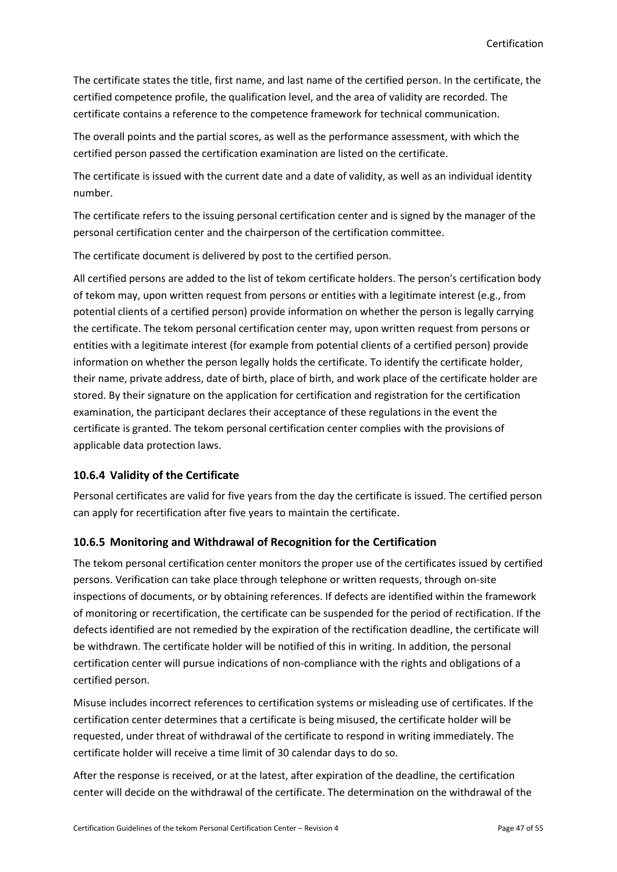The certificate states the title, first name, and last name of the certified person. In the certificate, the certified competence profile, the qualification level, and the area of validity are recorded. The certificate contains a reference to the competence framework for technical communication.

The overall points and the partial scores, as well as the performance assessment, with which the certified person passed the certification examination are listed on the certificate.

The certificate is issued with the current date and a date of validity, as well as an individual identity number.

The certificate refers to the issuing personal certification center and is signed by the manager of the personal certification center and the chairperson of the certification committee.

The certificate document is delivered by post to the certified person.

All certified persons are added to the list of tekom certificate holders. The person's certification body of tekom may, upon written request from persons or entities with a legitimate interest (e.g., from potential clients of a certified person) provide information on whether the person is legally carrying the certificate. The tekom personal certification center may, upon written request from persons or entities with a legitimate interest (for example from potential clients of a certified person) provide information on whether the person legally holds the certificate. To identify the certificate holder, their name, private address, date of birth, place of birth, and work place of the certificate holder are stored. By their signature on the application for certification and registration for the certification examination, the participant declares their acceptance of these regulations in the event the certificate is granted. The tekom personal certification center complies with the provisions of applicable data protection laws.

## <span id="page-46-0"></span>**10.6.4 Validity of the Certificate**

Personal certificates are valid for five years from the day the certificate is issued. The certified person can apply for recertification after five years to maintain the certificate.

## <span id="page-46-1"></span>**10.6.5 Monitoring and Withdrawal of Recognition for the Certification**

The tekom personal certification center monitors the proper use of the certificates issued by certified persons. Verification can take place through telephone or written requests, through on-site inspections of documents, or by obtaining references. If defects are identified within the framework of monitoring or recertification, the certificate can be suspended for the period of rectification. If the defects identified are not remedied by the expiration of the rectification deadline, the certificate will be withdrawn. The certificate holder will be notified of this in writing. In addition, the personal certification center will pursue indications of non-compliance with the rights and obligations of a certified person.

Misuse includes incorrect references to certification systems or misleading use of certificates. If the certification center determines that a certificate is being misused, the certificate holder will be requested, under threat of withdrawal of the certificate to respond in writing immediately. The certificate holder will receive a time limit of 30 calendar days to do so.

After the response is received, or at the latest, after expiration of the deadline, the certification center will decide on the withdrawal of the certificate. The determination on the withdrawal of the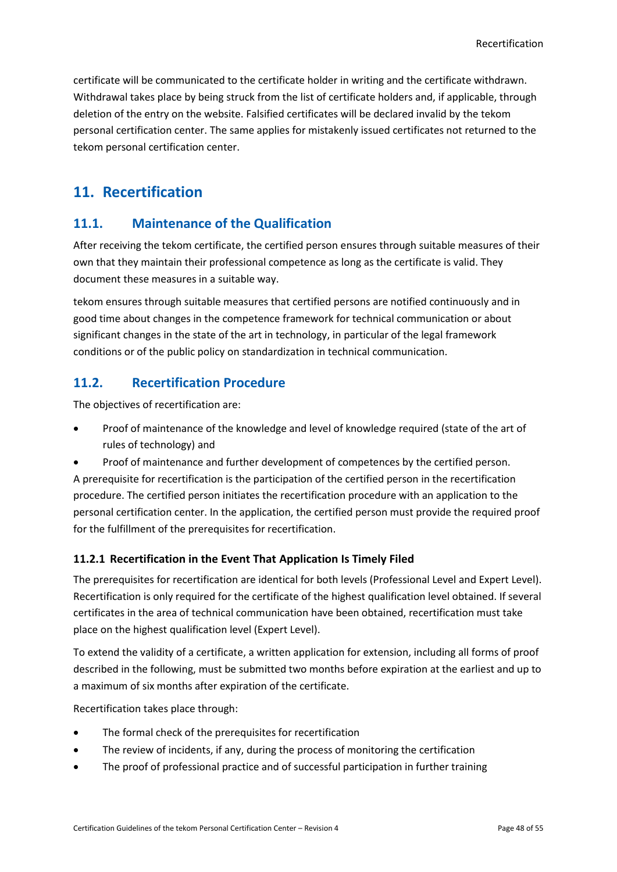certificate will be communicated to the certificate holder in writing and the certificate withdrawn. Withdrawal takes place by being struck from the list of certificate holders and, if applicable, through deletion of the entry on the website. Falsified certificates will be declared invalid by the tekom personal certification center. The same applies for mistakenly issued certificates not returned to the tekom personal certification center.

# <span id="page-47-0"></span>**11. Recertification**

# <span id="page-47-1"></span>**11.1. Maintenance of the Qualification**

After receiving the tekom certificate, the certified person ensures through suitable measures of their own that they maintain their professional competence as long as the certificate is valid. They document these measures in a suitable way.

tekom ensures through suitable measures that certified persons are notified continuously and in good time about changes in the competence framework for technical communication or about significant changes in the state of the art in technology, in particular of the legal framework conditions or of the public policy on standardization in technical communication.

# <span id="page-47-2"></span>**11.2. Recertification Procedure**

The objectives of recertification are:

- Proof of maintenance of the knowledge and level of knowledge required (state of the art of rules of technology) and
- Proof of maintenance and further development of competences by the certified person. A prerequisite for recertification is the participation of the certified person in the recertification procedure. The certified person initiates the recertification procedure with an application to the personal certification center. In the application, the certified person must provide the required proof for the fulfillment of the prerequisites for recertification.

## <span id="page-47-3"></span>**11.2.1 Recertification in the Event That Application Is Timely Filed**

The prerequisites for recertification are identical for both levels (Professional Level and Expert Level). Recertification is only required for the certificate of the highest qualification level obtained. If several certificates in the area of technical communication have been obtained, recertification must take place on the highest qualification level (Expert Level).

To extend the validity of a certificate, a written application for extension, including all forms of proof described in the following, must be submitted two months before expiration at the earliest and up to a maximum of six months after expiration of the certificate.

Recertification takes place through:

- The formal check of the prerequisites for recertification
- The review of incidents, if any, during the process of monitoring the certification
- The proof of professional practice and of successful participation in further training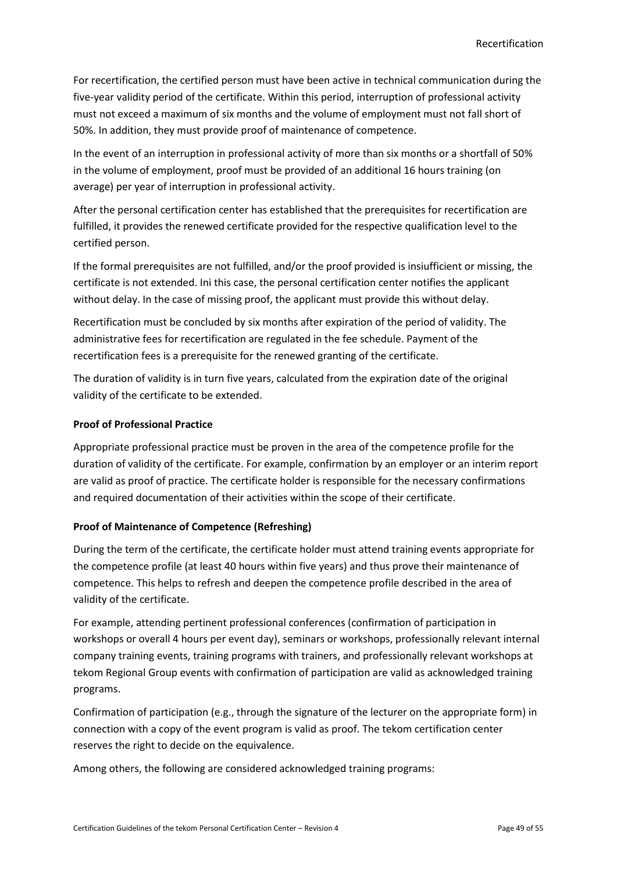For recertification, the certified person must have been active in technical communication during the five-year validity period of the certificate. Within this period, interruption of professional activity must not exceed a maximum of six months and the volume of employment must not fall short of 50%. In addition, they must provide proof of maintenance of competence.

In the event of an interruption in professional activity of more than six months or a shortfall of 50% in the volume of employment, proof must be provided of an additional 16 hours training (on average) per year of interruption in professional activity.

After the personal certification center has established that the prerequisites for recertification are fulfilled, it provides the renewed certificate provided for the respective qualification level to the certified person.

If the formal prerequisites are not fulfilled, and/or the proof provided is insiufficient or missing, the certificate is not extended. Ini this case, the personal certification center notifies the applicant without delay. In the case of missing proof, the applicant must provide this without delay.

Recertification must be concluded by six months after expiration of the period of validity. The administrative fees for recertification are regulated in the fee schedule. Payment of the recertification fees is a prerequisite for the renewed granting of the certificate.

The duration of validity is in turn five years, calculated from the expiration date of the original validity of the certificate to be extended.

#### **Proof of Professional Practice**

Appropriate professional practice must be proven in the area of the competence profile for the duration of validity of the certificate. For example, confirmation by an employer or an interim report are valid as proof of practice. The certificate holder is responsible for the necessary confirmations and required documentation of their activities within the scope of their certificate.

## **Proof of Maintenance of Competence (Refreshing)**

During the term of the certificate, the certificate holder must attend training events appropriate for the competence profile (at least 40 hours within five years) and thus prove their maintenance of competence. This helps to refresh and deepen the competence profile described in the area of validity of the certificate.

For example, attending pertinent professional conferences (confirmation of participation in workshops or overall 4 hours per event day), seminars or workshops, professionally relevant internal company training events, training programs with trainers, and professionally relevant workshops at tekom Regional Group events with confirmation of participation are valid as acknowledged training programs.

Confirmation of participation (e.g., through the signature of the lecturer on the appropriate form) in connection with a copy of the event program is valid as proof. The tekom certification center reserves the right to decide on the equivalence.

Among others, the following are considered acknowledged training programs: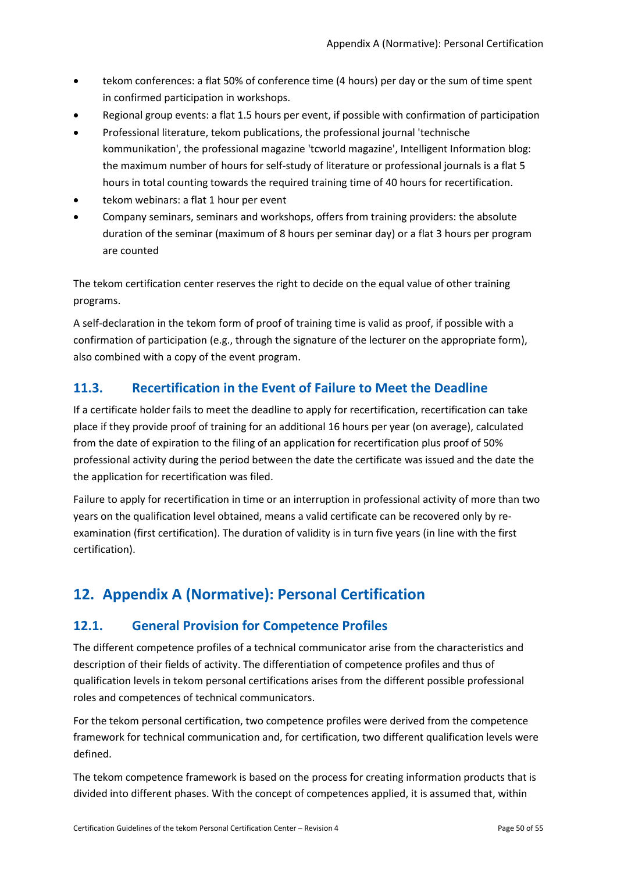- tekom conferences: a flat 50% of conference time (4 hours) per day or the sum of time spent in confirmed participation in workshops.
- Regional group events: a flat 1.5 hours per event, if possible with confirmation of participation
- Professional literature, tekom publications, the professional journal 'technische kommunikation', the professional magazine 'tcworld magazine', Intelligent Information blog: the maximum number of hours for self-study of literature or professional journals is a flat 5 hours in total counting towards the required training time of 40 hours for recertification.
- tekom webinars: a flat 1 hour per event
- Company seminars, seminars and workshops, offers from training providers: the absolute duration of the seminar (maximum of 8 hours per seminar day) or a flat 3 hours per program are counted

The tekom certification center reserves the right to decide on the equal value of other training programs.

A self-declaration in the tekom form of proof of training time is valid as proof, if possible with a confirmation of participation (e.g., through the signature of the lecturer on the appropriate form), also combined with a copy of the event program.

# <span id="page-49-0"></span>**11.3. Recertification in the Event of Failure to Meet the Deadline**

If a certificate holder fails to meet the deadline to apply for recertification, recertification can take place if they provide proof of training for an additional 16 hours per year (on average), calculated from the date of expiration to the filing of an application for recertification plus proof of 50% professional activity during the period between the date the certificate was issued and the date the the application for recertification was filed.

Failure to apply for recertification in time or an interruption in professional activity of more than two years on the qualification level obtained, means a valid certificate can be recovered only by reexamination (first certification). The duration of validity is in turn five years (in line with the first certification).

# <span id="page-49-1"></span>**12. Appendix A (Normative): Personal Certification**

## <span id="page-49-2"></span>**12.1. General Provision for Competence Profiles**

The different competence profiles of a technical communicator arise from the characteristics and description of their fields of activity. The differentiation of competence profiles and thus of qualification levels in tekom personal certifications arises from the different possible professional roles and competences of technical communicators.

For the tekom personal certification, two competence profiles were derived from the competence framework for technical communication and, for certification, two different qualification levels were defined.

The tekom competence framework is based on the process for creating information products that is divided into different phases. With the concept of competences applied, it is assumed that, within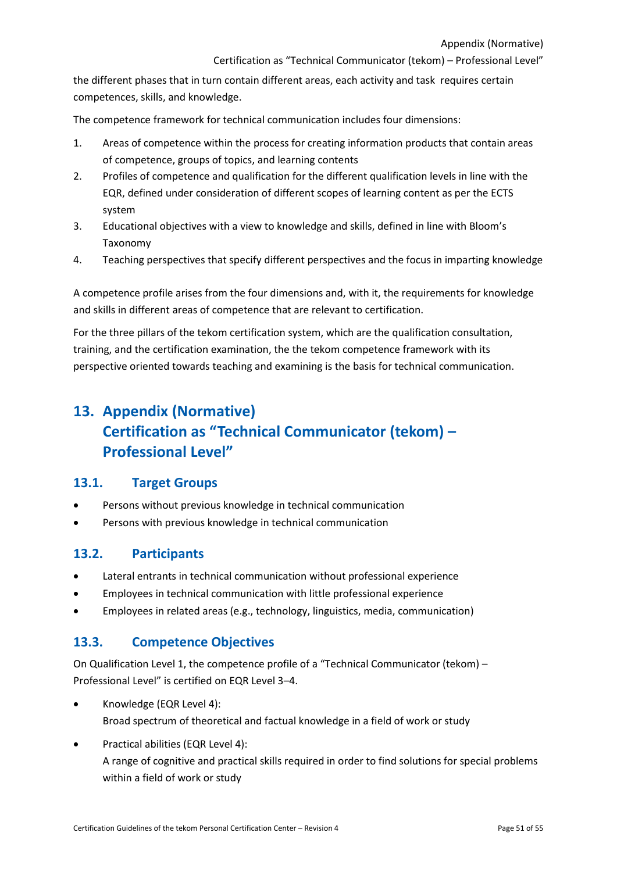Certification as "Technical Communicator (tekom) – Professional Level"

the different phases that in turn contain different areas, each activity and task requires certain competences, skills, and knowledge.

The competence framework for technical communication includes four dimensions:

- 1. Areas of competence within the process for creating information products that contain areas of competence, groups of topics, and learning contents
- 2. Profiles of competence and qualification for the different qualification levels in line with the EQR, defined under consideration of different scopes of learning content as per the ECTS system
- 3. Educational objectives with a view to knowledge and skills, defined in line with Bloom's Taxonomy
- 4. Teaching perspectives that specify different perspectives and the focus in imparting knowledge

A competence profile arises from the four dimensions and, with it, the requirements for knowledge and skills in different areas of competence that are relevant to certification.

For the three pillars of the tekom certification system, which are the qualification consultation, training, and the certification examination, the the tekom competence framework with its perspective oriented towards teaching and examining is the basis for technical communication.

# <span id="page-50-0"></span>**13. Appendix (Normative) Certification as "Technical Communicator (tekom) – Professional Level"**

## <span id="page-50-1"></span>**13.1. Target Groups**

- Persons without previous knowledge in technical communication
- Persons with previous knowledge in technical communication

## <span id="page-50-2"></span>**13.2. Participants**

- Lateral entrants in technical communication without professional experience
- Employees in technical communication with little professional experience
- <span id="page-50-3"></span>• Employees in related areas (e.g., technology, linguistics, media, communication)

## **13.3. Competence Objectives**

On Qualification Level 1, the competence profile of a "Technical Communicator (tekom) – Professional Level" is certified on EQR Level 3–4.

- Knowledge (EQR Level 4): Broad spectrum of theoretical and factual knowledge in a field of work or study
- Practical abilities (EQR Level 4): A range of cognitive and practical skills required in order to find solutions for special problems within a field of work or study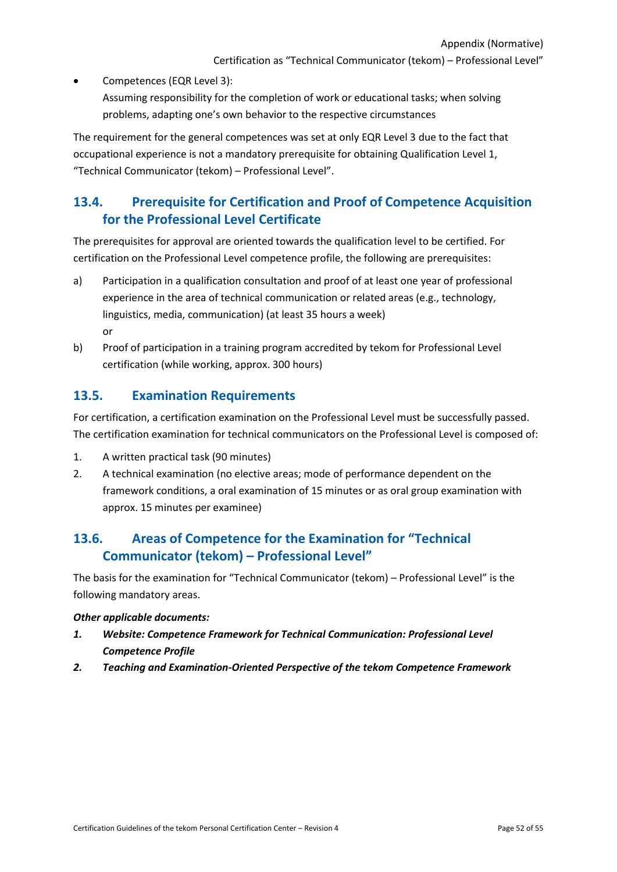Certification as "Technical Communicator (tekom) – Professional Level"

- Competences (EQR Level 3):
	- Assuming responsibility for the completion of work or educational tasks; when solving problems, adapting one's own behavior to the respective circumstances

The requirement for the general competences was set at only EQR Level 3 due to the fact that occupational experience is not a mandatory prerequisite for obtaining Qualification Level 1, "Technical Communicator (tekom) – Professional Level".

# <span id="page-51-0"></span>**13.4. Prerequisite for Certification and Proof of Competence Acquisition for the Professional Level Certificate**

The prerequisites for approval are oriented towards the qualification level to be certified. For certification on the Professional Level competence profile, the following are prerequisites:

- a) Participation in a qualification consultation and proof of at least one year of professional experience in the area of technical communication or related areas (e.g., technology, linguistics, media, communication) (at least 35 hours a week) or
- b) Proof of participation in a training program accredited by tekom for Professional Level certification (while working, approx. 300 hours)

## <span id="page-51-1"></span>**13.5. Examination Requirements**

For certification, a certification examination on the Professional Level must be successfully passed. The certification examination for technical communicators on the Professional Level is composed of:

- 1. A written practical task (90 minutes)
- 2. A technical examination (no elective areas; mode of performance dependent on the framework conditions, a oral examination of 15 minutes or as oral group examination with approx. 15 minutes per examinee)

# <span id="page-51-2"></span>**13.6. Areas of Competence for the Examination for "Technical Communicator (tekom) – Professional Level"**

The basis for the examination for "Technical Communicator (tekom) – Professional Level" is the following mandatory areas.

#### *Other applicable documents:*

- *1. Website: Competence Framework for Technical Communication: Professional Level Competence Profile*
- *2. Teaching and Examination-Oriented Perspective of the tekom Competence Framework*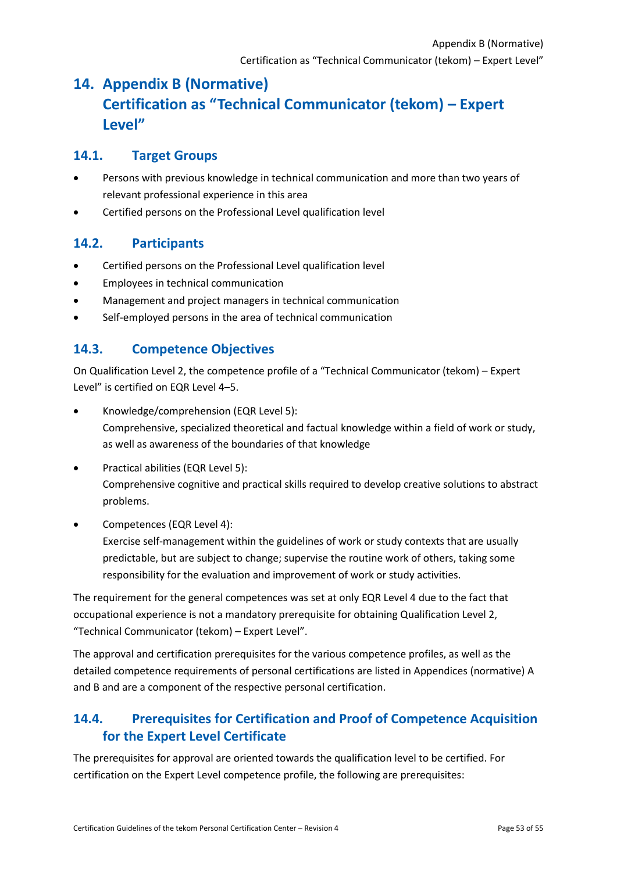# <span id="page-52-0"></span>**14. Appendix B (Normative) Certification as "Technical Communicator (tekom) – Expert Level"**

## <span id="page-52-1"></span>**14.1. Target Groups**

- Persons with previous knowledge in technical communication and more than two years of relevant professional experience in this area
- Certified persons on the Professional Level qualification level

# <span id="page-52-2"></span>**14.2. Participants**

- Certified persons on the Professional Level qualification level
- Employees in technical communication
- Management and project managers in technical communication
- Self-employed persons in the area of technical communication

# <span id="page-52-3"></span>**14.3. Competence Objectives**

On Qualification Level 2, the competence profile of a "Technical Communicator (tekom) – Expert Level" is certified on EQR Level 4–5.

- Knowledge/comprehension (EQR Level 5): Comprehensive, specialized theoretical and factual knowledge within a field of work or study, as well as awareness of the boundaries of that knowledge
- Practical abilities (EQR Level 5): Comprehensive cognitive and practical skills required to develop creative solutions to abstract problems.
- Competences (EQR Level 4):

Exercise self-management within the guidelines of work or study contexts that are usually predictable, but are subject to change; supervise the routine work of others, taking some responsibility for the evaluation and improvement of work or study activities.

The requirement for the general competences was set at only EQR Level 4 due to the fact that occupational experience is not a mandatory prerequisite for obtaining Qualification Level 2, "Technical Communicator (tekom) – Expert Level".

The approval and certification prerequisites for the various competence profiles, as well as the detailed competence requirements of personal certifications are listed in Appendices (normative) A and B and are a component of the respective personal certification.

# <span id="page-52-4"></span>**14.4. Prerequisites for Certification and Proof of Competence Acquisition for the Expert Level Certificate**

The prerequisites for approval are oriented towards the qualification level to be certified. For certification on the Expert Level competence profile, the following are prerequisites: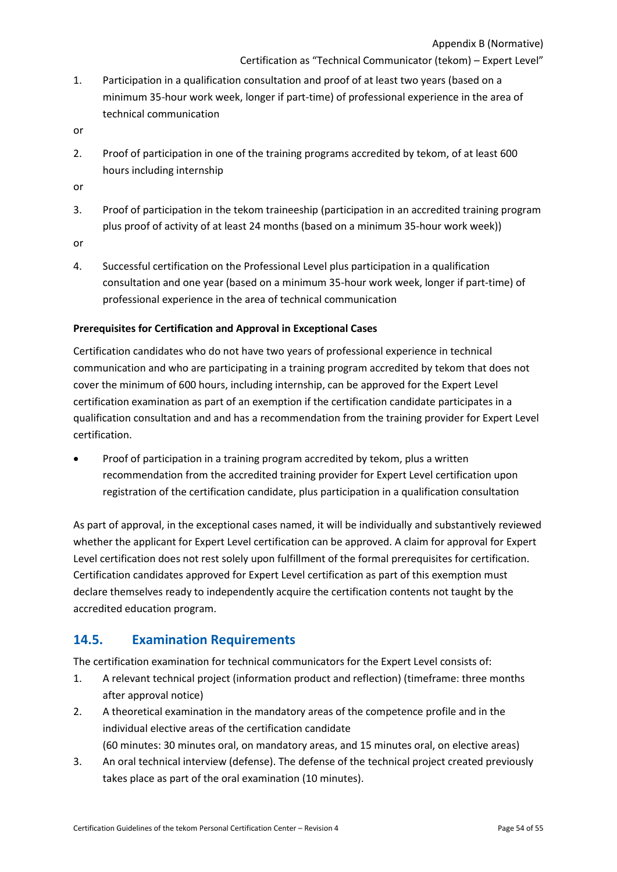Certification as "Technical Communicator (tekom) – Expert Level"

- 1. Participation in a qualification consultation and proof of at least two years (based on a minimum 35-hour work week, longer if part-time) of professional experience in the area of technical communication
- or
- 2. Proof of participation in one of the training programs accredited by tekom, of at least 600 hours including internship
- or
- 3. Proof of participation in the tekom traineeship (participation in an accredited training program plus proof of activity of at least 24 months (based on a minimum 35-hour work week))
- or
- 4. Successful certification on the Professional Level plus participation in a qualification consultation and one year (based on a minimum 35-hour work week, longer if part-time) of professional experience in the area of technical communication

#### **Prerequisites for Certification and Approval in Exceptional Cases**

Certification candidates who do not have two years of professional experience in technical communication and who are participating in a training program accredited by tekom that does not cover the minimum of 600 hours, including internship, can be approved for the Expert Level certification examination as part of an exemption if the certification candidate participates in a qualification consultation and and has a recommendation from the training provider for Expert Level certification.

Proof of participation in a training program accredited by tekom, plus a written recommendation from the accredited training provider for Expert Level certification upon registration of the certification candidate, plus participation in a qualification consultation

As part of approval, in the exceptional cases named, it will be individually and substantively reviewed whether the applicant for Expert Level certification can be approved. A claim for approval for Expert Level certification does not rest solely upon fulfillment of the formal prerequisites for certification. Certification candidates approved for Expert Level certification as part of this exemption must declare themselves ready to independently acquire the certification contents not taught by the accredited education program.

## <span id="page-53-0"></span>**14.5. Examination Requirements**

The certification examination for technical communicators for the Expert Level consists of:

- 1. A relevant technical project (information product and reflection) (timeframe: three months after approval notice)
- 2. A theoretical examination in the mandatory areas of the competence profile and in the individual elective areas of the certification candidate (60 minutes: 30 minutes oral, on mandatory areas, and 15 minutes oral, on elective areas)
- 3. An oral technical interview (defense). The defense of the technical project created previously takes place as part of the oral examination (10 minutes).